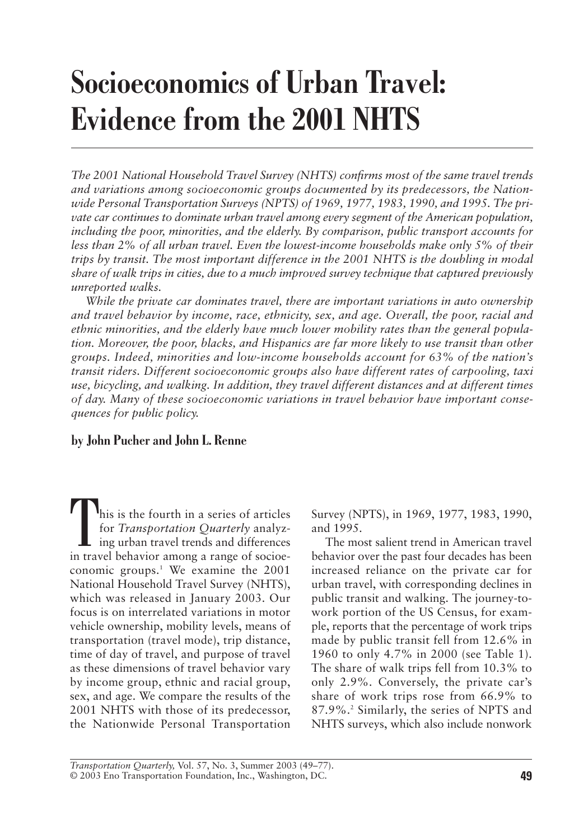# **Socioeconomics of Urban Travel: Evidence from the 2001 NHTS**

*The 2001 National Household Travel Survey (NHTS) confirms most of the same travel trends and variations among socioeconomic groups documented by its predecessors, the Nationwide Personal Transportation Surveys (NPTS) of 1969, 1977, 1983, 1990, and 1995. The private car continues to dominate urban travel among every segment of the American population, including the poor, minorities, and the elderly. By comparison, public transport accounts for less than 2% of all urban travel. Even the lowest-income households make only 5% of their trips by transit. The most important difference in the 2001 NHTS is the doubling in modal share of walk trips in cities, due to a much improved survey technique that captured previously unreported walks.*

*While the private car dominates travel, there are important variations in auto ownership and travel behavior by income, race, ethnicity, sex, and age. Overall, the poor, racial and ethnic minorities, and the elderly have much lower mobility rates than the general population. Moreover, the poor, blacks, and Hispanics are far more likely to use transit than other groups. Indeed, minorities and low-income households account for 63% of the nation's transit riders. Different socioeconomic groups also have different rates of carpooling, taxi use, bicycling, and walking. In addition, they travel different distances and at different times of day. Many of these socioeconomic variations in travel behavior have important consequences for public policy.*

## **by John Pucher and John L. Renne**

This is the fourth in a series of articles for *Transportation Quarterly* analyzing urban travel trends and differences in travel behavior among a range of socioeconomic groups.<sup>1</sup> We examine the 2001 National Household Travel Survey (NHTS), which was released in January 2003. Our focus is on interrelated variations in motor vehicle ownership, mobility levels, means of transportation (travel mode), trip distance, time of day of travel, and purpose of travel as these dimensions of travel behavior vary by income group, ethnic and racial group, sex, and age. We compare the results of the 2001 NHTS with those of its predecessor, the Nationwide Personal Transportation

Survey (NPTS), in 1969, 1977, 1983, 1990, and 1995.

The most salient trend in American travel behavior over the past four decades has been increased reliance on the private car for urban travel, with corresponding declines in public transit and walking. The journey-towork portion of the US Census, for example, reports that the percentage of work trips made by public transit fell from 12.6% in 1960 to only 4.7% in 2000 (see Table 1). The share of walk trips fell from 10.3% to only 2.9%. Conversely, the private car's share of work trips rose from 66.9% to 87.9%.2 Similarly, the series of NPTS and NHTS surveys, which also include nonwork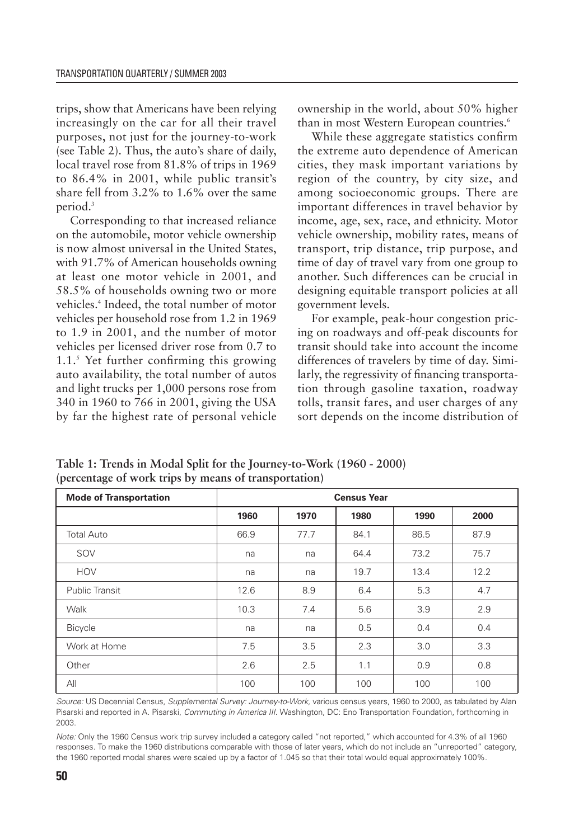trips, show that Americans have been relying increasingly on the car for all their travel purposes, not just for the journey-to-work (see Table 2). Thus, the auto's share of daily, local travel rose from 81.8% of trips in 1969 to 86.4% in 2001, while public transit's share fell from 3.2% to 1.6% over the same period.3

Corresponding to that increased reliance on the automobile, motor vehicle ownership is now almost universal in the United States, with 91.7% of American households owning at least one motor vehicle in 2001, and 58.5% of households owning two or more vehicles.4 Indeed, the total number of motor vehicles per household rose from 1.2 in 1969 to 1.9 in 2001, and the number of motor vehicles per licensed driver rose from 0.7 to 1.1.5 Yet further confirming this growing auto availability, the total number of autos and light trucks per 1,000 persons rose from 340 in 1960 to 766 in 2001, giving the USA by far the highest rate of personal vehicle

ownership in the world, about 50% higher than in most Western European countries.<sup>6</sup>

While these aggregate statistics confirm the extreme auto dependence of American cities, they mask important variations by region of the country, by city size, and among socioeconomic groups. There are important differences in travel behavior by income, age, sex, race, and ethnicity. Motor vehicle ownership, mobility rates, means of transport, trip distance, trip purpose, and time of day of travel vary from one group to another. Such differences can be crucial in designing equitable transport policies at all government levels.

For example, peak-hour congestion pricing on roadways and off-peak discounts for transit should take into account the income differences of travelers by time of day. Similarly, the regressivity of financing transportation through gasoline taxation, roadway tolls, transit fares, and user charges of any sort depends on the income distribution of

| <b>Mode of Transportation</b> |      |      | <b>Census Year</b> |      |      |
|-------------------------------|------|------|--------------------|------|------|
|                               | 1960 | 1970 | 1980               | 1990 | 2000 |
| <b>Total Auto</b>             | 66.9 | 77.7 | 84.1               | 86.5 | 87.9 |
| SOV                           | na   | na   | 64.4               | 73.2 | 75.7 |
| <b>HOV</b>                    | na   | na   | 19.7               | 13.4 | 12.2 |
| <b>Public Transit</b>         | 12.6 | 8.9  | 6.4                | 5.3  | 4.7  |
| Walk                          | 10.3 | 7.4  | 5.6                | 3.9  | 2.9  |
| <b>Bicycle</b>                | na   | na   | 0.5                | 0.4  | 0.4  |
| Work at Home                  | 7.5  | 3.5  | 2.3                | 3.0  | 3.3  |
| Other                         | 2.6  | 2.5  | 1.1                | 0.9  | 0.8  |
| All                           | 100  | 100  | 100                | 100  | 100  |

**Table 1: Trends in Modal Split for the Journey-to-Work (1960 - 2000) (percentage of work trips by means of transportation)**

*Source:* US Decennial Census, *Supplemental Survey: Journey-to-Work,* various census years, 1960 to 2000, as tabulated by Alan Pisarski and reported in A. Pisarski, *Commuting in America III.* Washington, DC: Eno Transportation Foundation, forthcoming in 2003.

*Note:* Only the 1960 Census work trip survey included a category called "not reported," which accounted for 4.3% of all 1960 responses. To make the 1960 distributions comparable with those of later years, which do not include an "unreported" category, the 1960 reported modal shares were scaled up by a factor of 1.045 so that their total would equal approximately 100%.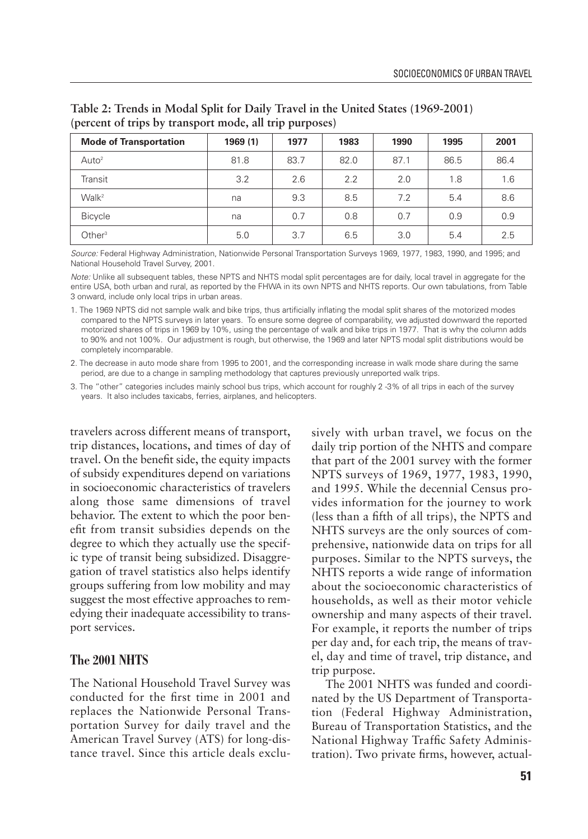| <b>Mode of Transportation</b> | 1969(1) | 1977 | 1983 | 1990 | 1995 | 2001 |
|-------------------------------|---------|------|------|------|------|------|
| Auto <sup>2</sup>             | 81.8    | 83.7 | 82.0 | 87.1 | 86.5 | 86.4 |
| Transit                       | 3.2     | 2.6  | 2.2  | 2.0  | 1.8  | 1.6  |
| Walk <sup>2</sup>             | na      | 9.3  | 8.5  | 7.2  | 5.4  | 8.6  |
| <b>Bicycle</b>                | na      | 0.7  | 0.8  | 0.7  | 0.9  | 0.9  |
| Other $3$                     | 5.0     | 3.7  | 6.5  | 3.0  | 5.4  | 2.5  |

**Table 2: Trends in Modal Split for Daily Travel in the United States (1969-2001) (percent of trips by transport mode, all trip purposes)**

*Source:* Federal Highway Administration, Nationwide Personal Transportation Surveys 1969, 1977, 1983, 1990, and 1995; and National Household Travel Survey, 2001.

*Note:* Unlike all subsequent tables, these NPTS and NHTS modal split percentages are for daily, local travel in aggregate for the entire USA, both urban and rural, as reported by the FHWA in its own NPTS and NHTS reports. Our own tabulations, from Table 3 onward, include only local trips in urban areas.

1. The 1969 NPTS did not sample walk and bike trips, thus artificially inflating the modal split shares of the motorized modes compared to the NPTS surveys in later years. To ensure some degree of comparability, we adjusted downward the reported motorized shares of trips in 1969 by 10%, using the percentage of walk and bike trips in 1977. That is why the column adds to 90% and not 100%. Our adjustment is rough, but otherwise, the 1969 and later NPTS modal split distributions would be completely incomparable.

2. The decrease in auto mode share from 1995 to 2001, and the corresponding increase in walk mode share during the same period, are due to a change in sampling methodology that captures previously unreported walk trips.

3. The "other" categories includes mainly school bus trips, which account for roughly 2 -3% of all trips in each of the survey years. It also includes taxicabs, ferries, airplanes, and helicopters.

travelers across different means of transport, trip distances, locations, and times of day of travel. On the benefit side, the equity impacts of subsidy expenditures depend on variations in socioeconomic characteristics of travelers along those same dimensions of travel behavior. The extent to which the poor benefit from transit subsidies depends on the degree to which they actually use the specific type of transit being subsidized. Disaggregation of travel statistics also helps identify groups suffering from low mobility and may suggest the most effective approaches to remedying their inadequate accessibility to transport services.

#### **The 2001 NHTS**

The National Household Travel Survey was conducted for the first time in 2001 and replaces the Nationwide Personal Transportation Survey for daily travel and the American Travel Survey (ATS) for long-distance travel. Since this article deals exclusively with urban travel, we focus on the daily trip portion of the NHTS and compare that part of the 2001 survey with the former NPTS surveys of 1969, 1977, 1983, 1990, and 1995. While the decennial Census provides information for the journey to work (less than a fifth of all trips), the NPTS and NHTS surveys are the only sources of comprehensive, nationwide data on trips for all purposes. Similar to the NPTS surveys, the NHTS reports a wide range of information about the socioeconomic characteristics of households, as well as their motor vehicle ownership and many aspects of their travel. For example, it reports the number of trips per day and, for each trip, the means of travel, day and time of travel, trip distance, and trip purpose.

The 2001 NHTS was funded and coordinated by the US Department of Transportation (Federal Highway Administration, Bureau of Transportation Statistics, and the National Highway Traffic Safety Administration). Two private firms, however, actual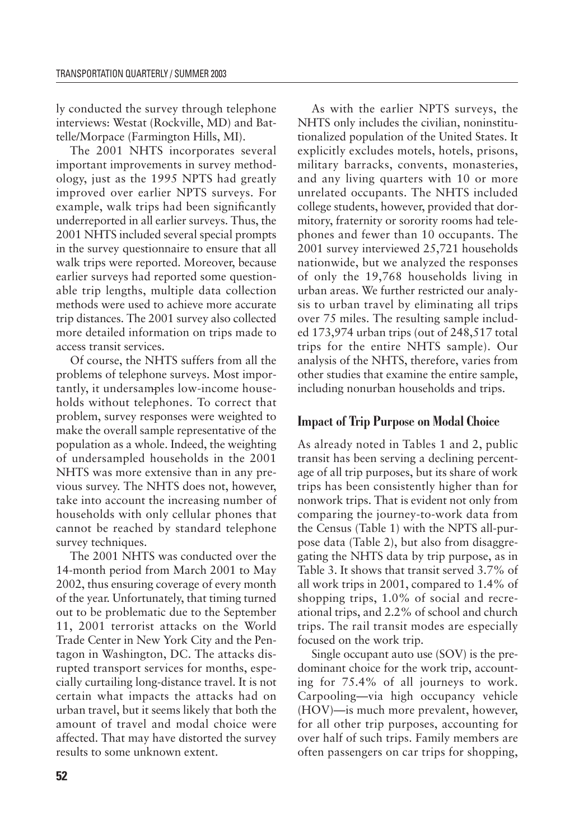ly conducted the survey through telephone interviews: Westat (Rockville, MD) and Battelle/Morpace (Farmington Hills, MI).

The 2001 NHTS incorporates several important improvements in survey methodology, just as the 1995 NPTS had greatly improved over earlier NPTS surveys. For example, walk trips had been significantly underreported in all earlier surveys. Thus, the 2001 NHTS included several special prompts in the survey questionnaire to ensure that all walk trips were reported. Moreover, because earlier surveys had reported some questionable trip lengths, multiple data collection methods were used to achieve more accurate trip distances. The 2001 survey also collected more detailed information on trips made to access transit services.

Of course, the NHTS suffers from all the problems of telephone surveys. Most importantly, it undersamples low-income households without telephones. To correct that problem, survey responses were weighted to make the overall sample representative of the population as a whole. Indeed, the weighting of undersampled households in the 2001 NHTS was more extensive than in any previous survey. The NHTS does not, however, take into account the increasing number of households with only cellular phones that cannot be reached by standard telephone survey techniques.

The 2001 NHTS was conducted over the 14-month period from March 2001 to May 2002, thus ensuring coverage of every month of the year. Unfortunately, that timing turned out to be problematic due to the September 11, 2001 terrorist attacks on the World Trade Center in New York City and the Pentagon in Washington, DC. The attacks disrupted transport services for months, especially curtailing long-distance travel. It is not certain what impacts the attacks had on urban travel, but it seems likely that both the amount of travel and modal choice were affected. That may have distorted the survey results to some unknown extent.

As with the earlier NPTS surveys, the NHTS only includes the civilian, noninstitutionalized population of the United States. It explicitly excludes motels, hotels, prisons, military barracks, convents, monasteries, and any living quarters with 10 or more unrelated occupants. The NHTS included college students, however, provided that dormitory, fraternity or sorority rooms had telephones and fewer than 10 occupants. The 2001 survey interviewed 25,721 households nationwide, but we analyzed the responses of only the 19,768 households living in urban areas. We further restricted our analysis to urban travel by eliminating all trips over 75 miles. The resulting sample included 173,974 urban trips (out of 248,517 total trips for the entire NHTS sample). Our analysis of the NHTS, therefore, varies from other studies that examine the entire sample, including nonurban households and trips.

## **Impact of Trip Purpose on Modal Choice**

As already noted in Tables 1 and 2, public transit has been serving a declining percentage of all trip purposes, but its share of work trips has been consistently higher than for nonwork trips. That is evident not only from comparing the journey-to-work data from the Census (Table 1) with the NPTS all-purpose data (Table 2), but also from disaggregating the NHTS data by trip purpose, as in Table 3. It shows that transit served 3.7% of all work trips in 2001, compared to 1.4% of shopping trips, 1.0% of social and recreational trips, and 2.2% of school and church trips. The rail transit modes are especially focused on the work trip.

Single occupant auto use (SOV) is the predominant choice for the work trip, accounting for 75.4% of all journeys to work. Carpooling—via high occupancy vehicle (HOV)—is much more prevalent, however, for all other trip purposes, accounting for over half of such trips. Family members are often passengers on car trips for shopping,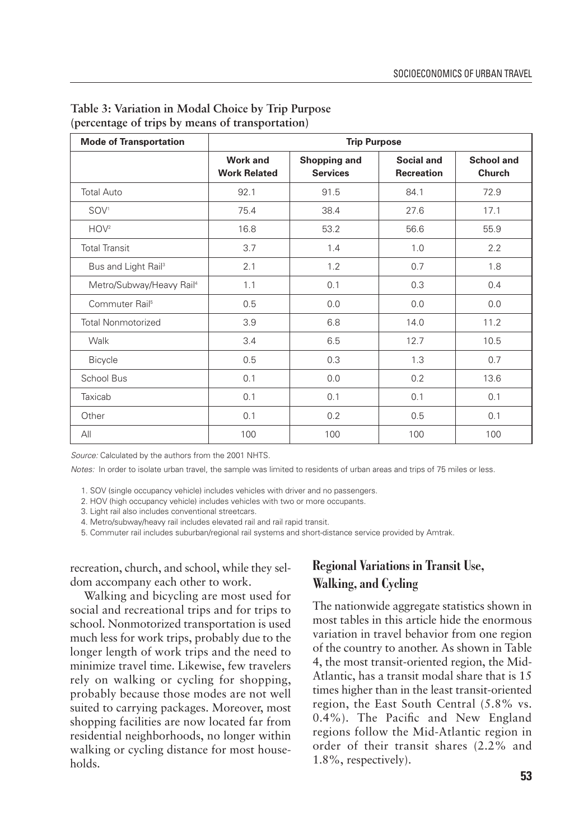| <b>Mode of Transportation</b>        |                                        | <b>Trip Purpose</b>             |                                 |                             |
|--------------------------------------|----------------------------------------|---------------------------------|---------------------------------|-----------------------------|
|                                      | <b>Work and</b><br><b>Work Related</b> | Shopping and<br><b>Services</b> | Social and<br><b>Recreation</b> | <b>School and</b><br>Church |
| <b>Total Auto</b>                    | 92.1                                   | 91.5                            | 84.1                            | 72.9                        |
| SOV <sup>1</sup>                     | 75.4                                   | 38.4                            | 27.6                            | 17.1                        |
| HOV <sup>2</sup>                     | 16.8                                   | 53.2                            | 56.6                            | 55.9                        |
| <b>Total Transit</b>                 | 3.7                                    | 1.4                             | 1.0                             | 2.2                         |
| Bus and Light Rail <sup>3</sup>      | 2.1                                    | 1.2                             | 0.7                             | 1.8                         |
| Metro/Subway/Heavy Rail <sup>4</sup> | 1.1                                    | 0.1                             | 0.3                             | 0.4                         |
| Commuter Rail <sup>5</sup>           | 0.5                                    | 0.0                             | 0.0                             | 0.0                         |
| <b>Total Nonmotorized</b>            | 3.9                                    | 6.8                             | 14.0                            | 11.2                        |
| Walk                                 | 3.4                                    | 6.5                             | 12.7                            | 10.5                        |
| <b>Bicycle</b>                       | 0.5                                    | 0.3                             | 1.3                             | 0.7                         |
| School Bus                           | 0.1                                    | 0.0                             | 0.2                             | 13.6                        |
| Taxicab                              | 0.1                                    | 0.1                             | 0.1                             | 0.1                         |
| Other                                | 0.1                                    | 0.2                             | 0.5                             | 0.1                         |
| All                                  | 100                                    | 100                             | 100                             | 100                         |

## **Table 3: Variation in Modal Choice by Trip Purpose (percentage of trips by means of transportation)**

*Source:* Calculated by the authors from the 2001 NHTS.

*Notes:* In order to isolate urban travel, the sample was limited to residents of urban areas and trips of 75 miles or less.

1. SOV (single occupancy vehicle) includes vehicles with driver and no passengers.

2. HOV (high occupancy vehicle) includes vehicles with two or more occupants.

3. Light rail also includes conventional streetcars.

4. Metro/subway/heavy rail includes elevated rail and rail rapid transit.

5. Commuter rail includes suburban/regional rail systems and short-distance service provided by Amtrak.

recreation, church, and school, while they seldom accompany each other to work.

Walking and bicycling are most used for social and recreational trips and for trips to school. Nonmotorized transportation is used much less for work trips, probably due to the longer length of work trips and the need to minimize travel time. Likewise, few travelers rely on walking or cycling for shopping, probably because those modes are not well suited to carrying packages. Moreover, most shopping facilities are now located far from residential neighborhoods, no longer within walking or cycling distance for most households.

# **Regional Variations in Transit Use, Walking, and Cycling**

The nationwide aggregate statistics shown in most tables in this article hide the enormous variation in travel behavior from one region of the country to another. As shown in Table 4, the most transit-oriented region, the Mid-Atlantic, has a transit modal share that is 15 times higher than in the least transit-oriented region, the East South Central (5.8% vs. 0.4%). The Pacific and New England regions follow the Mid-Atlantic region in order of their transit shares (2.2% and 1.8%, respectively).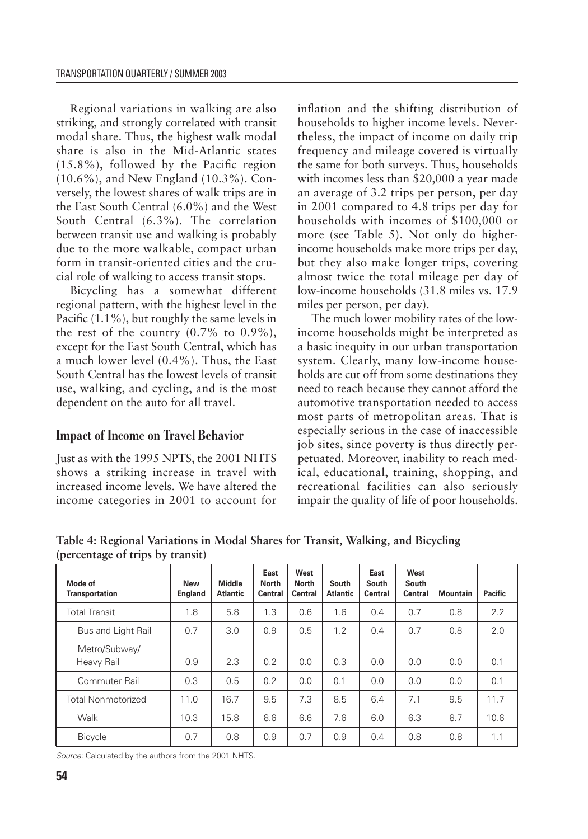Regional variations in walking are also striking, and strongly correlated with transit modal share. Thus, the highest walk modal share is also in the Mid-Atlantic states (15.8%), followed by the Pacific region (10.6%), and New England (10.3%). Conversely, the lowest shares of walk trips are in the East South Central (6.0%) and the West South Central (6.3%). The correlation between transit use and walking is probably due to the more walkable, compact urban form in transit-oriented cities and the crucial role of walking to access transit stops.

Bicycling has a somewhat different regional pattern, with the highest level in the Pacific (1.1%), but roughly the same levels in the rest of the country  $(0.7\%$  to  $0.9\%$ ), except for the East South Central, which has a much lower level (0.4%). Thus, the East South Central has the lowest levels of transit use, walking, and cycling, and is the most dependent on the auto for all travel.

# **Impact of Income on Travel Behavior**

Just as with the 1995 NPTS, the 2001 NHTS shows a striking increase in travel with increased income levels. We have altered the income categories in 2001 to account for

inflation and the shifting distribution of households to higher income levels. Nevertheless, the impact of income on daily trip frequency and mileage covered is virtually the same for both surveys. Thus, households with incomes less than \$20,000 a year made an average of 3.2 trips per person, per day in 2001 compared to 4.8 trips per day for households with incomes of \$100,000 or more (see Table 5). Not only do higherincome households make more trips per day, but they also make longer trips, covering almost twice the total mileage per day of low-income households (31.8 miles vs. 17.9 miles per person, per day).

The much lower mobility rates of the lowincome households might be interpreted as a basic inequity in our urban transportation system. Clearly, many low-income households are cut off from some destinations they need to reach because they cannot afford the automotive transportation needed to access most parts of metropolitan areas. That is especially serious in the case of inaccessible job sites, since poverty is thus directly perpetuated. Moreover, inability to reach medical, educational, training, shopping, and recreational facilities can also seriously impair the quality of life of poor households.

| Mode of<br><b>Transportation</b> | New<br><b>England</b> | Middle<br><b>Atlantic</b> | East<br><b>North</b><br><b>Central</b> | West<br><b>North</b><br><b>Central</b> | South<br>Atlantic | East<br>South<br><b>Central</b> | West<br>South<br><b>Central</b> | <b>Mountain</b> | <b>Pacific</b> |
|----------------------------------|-----------------------|---------------------------|----------------------------------------|----------------------------------------|-------------------|---------------------------------|---------------------------------|-----------------|----------------|
| <b>Total Transit</b>             | 1.8                   | 5.8                       | 1.3                                    | 0.6                                    | 1.6               | 0.4                             | 0.7                             | 0.8             | 2.2            |
| Bus and Light Rail               | 0.7                   | 3.0                       | 0.9                                    | 0.5                                    | 1.2               | 0.4                             | 0.7                             | 0.8             | 2.0            |
| Metro/Subway/<br>Heavy Rail      | 0.9                   | 2.3                       | 0.2                                    | 0.0                                    | 0.3               | 0.0                             | 0.0                             | 0.0             | 0.1            |
| Commuter Rail                    | 0.3                   | 0.5                       | 0.2                                    | 0.0                                    | 0.1               | 0.0                             | 0.0                             | 0.0             | 0.1            |
| <b>Total Nonmotorized</b>        | 11.0                  | 16.7                      | 9.5                                    | 7.3                                    | 8.5               | 6.4                             | 7.1                             | 9.5             | 11.7           |
| Walk                             | 10.3                  | 15.8                      | 8.6                                    | 6.6                                    | 7.6               | 6.0                             | 6.3                             | 8.7             | 10.6           |
| <b>Bicycle</b>                   | 0.7                   | 0.8                       | 0.9                                    | 0.7                                    | 0.9               | 0.4                             | 0.8                             | 0.8             | 1.1            |

**Table 4: Regional Variations in Modal Shares for Transit, Walking, and Bicycling (percentage of trips by transit)**

*Source:* Calculated by the authors from the 2001 NHTS.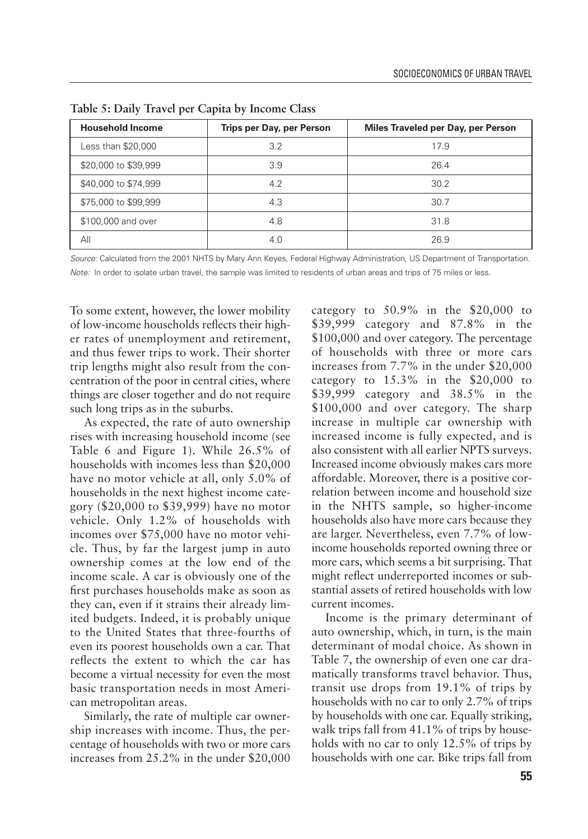| <b>Household Income</b> | <b>Trips per Day, per Person</b> | Miles Traveled per Day, per Person |
|-------------------------|----------------------------------|------------------------------------|
| Less than \$20,000      | 3.2                              | 17.9                               |
| \$20,000 to \$39,999    | 3.9                              | 26.4                               |
| \$40,000 to \$74,999    | 4.2                              | 30.2                               |
| \$75,000 to \$99,999    | 4.3                              | 30.7                               |
| \$100,000 and over      | 4.8                              | 31.8                               |
| All                     | 4.0                              | 26.9                               |

**Table 5: Daily Travel per Capita by Income Class**

*Source:* Calculated from the 2001 NHTS by Mary Ann Keyes, Federal Highway Administration, US Department of Transportation. *Note:* In order to isolate urban travel, the sample was limited to residents of urban areas and trips of 75 miles or less.

To some extent, however, the lower mobility of low-income households reflects their higher rates of unemployment and retirement, and thus fewer trips to work. Their shorter trip lengths might also result from the concentration of the poor in central cities, where things are closer together and do not require such long trips as in the suburbs.

As expected, the rate of auto ownership rises with increasing household income (see Table 6 and Figure 1). While 26.5% of households with incomes less than \$20,000 have no motor vehicle at all, only 5.0% of households in the next highest income category (\$20,000 to \$39,999) have no motor vehicle. Only 1.2% of households with incomes over \$75,000 have no motor vehicle. Thus, by far the largest jump in auto ownership comes at the low end of the income scale. A car is obviously one of the first purchases households make as soon as they can, even if it strains their already limited budgets. Indeed, it is probably unique to the United States that three-fourths of even its poorest households own a car. That reflects the extent to which the car has become a virtual necessity for even the most basic transportation needs in most American metropolitan areas.

Similarly, the rate of multiple car ownership increases with income. Thus, the percentage of households with two or more cars increases from 25.2% in the under \$20,000 category to  $50.9\%$  in the \$20,000 to \$39,999 category and 87.8% in the \$100,000 and over category. The percentage of households with three or more cars increases from 7.7% in the under \$20,000 category to  $15.3\%$  in the \$20,000 to \$39,999 category and 38.5% in the \$100,000 and over category. The sharp increase in multiple car ownership with increased income is fully expected, and is also consistent with all earlier NPTS surveys. Increased income obviously makes cars more affordable. Moreover, there is a positive correlation between income and household size in the NHTS sample, so higher-income households also have more cars because they are larger. Nevertheless, even 7.7% of lowincome households reported owning three or more cars, which seems a bit surprising. That might reflect underreported incomes or substantial assets of retired households with low current incomes.

Income is the primary determinant of auto ownership, which, in turn, is the main determinant of modal choice. As shown in Table 7, the ownership of even one car dramatically transforms travel behavior. Thus, transit use drops from 19.1% of trips by households with no car to only 2.7% of trips by households with one car. Equally striking, walk trips fall from 41.1% of trips by households with no car to only 12.5% of trips by households with one car. Bike trips fall from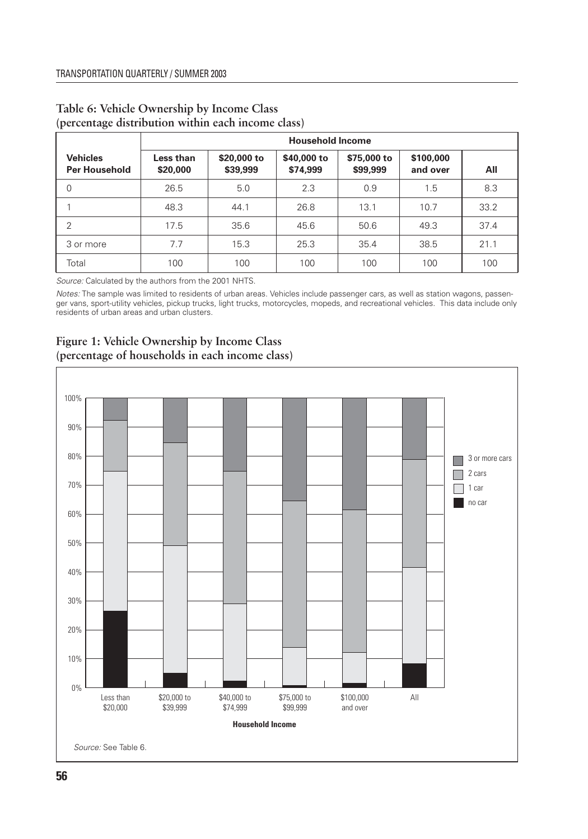|                                         | <b>Household Income</b> |                         |                         |                         |                       |      |  |  |
|-----------------------------------------|-------------------------|-------------------------|-------------------------|-------------------------|-----------------------|------|--|--|
| <b>Vehicles</b><br><b>Per Household</b> | Less than<br>\$20,000   | \$20,000 to<br>\$39,999 | \$40,000 to<br>\$74,999 | \$75,000 to<br>\$99,999 | \$100,000<br>and over | All  |  |  |
| $\mathbf 0$                             | 26.5                    | 5.0                     | 2.3                     | 0.9                     | 1.5                   | 8.3  |  |  |
|                                         | 48.3                    | 44.1                    | 26.8                    | 13.1                    | 10.7                  | 33.2 |  |  |
| $\overline{2}$                          | 17.5                    | 35.6                    | 45.6                    | 50.6                    | 49.3                  | 37.4 |  |  |
| 3 or more                               | 7.7                     | 15.3                    | 25.3                    | 35.4                    | 38.5                  | 21.1 |  |  |
| Total                                   | 100                     | 100                     | 100                     | 100                     | 100                   | 100  |  |  |

## **Table 6: Vehicle Ownership by Income Class (percentage distribution within each income class)**

*Source:* Calculated by the authors from the 2001 NHTS.

*Notes:* The sample was limited to residents of urban areas. Vehicles include passenger cars, as well as station wagons, passenger vans, sport-utility vehicles, pickup trucks, light trucks, motorcycles, mopeds, and recreational vehicles. This data include only residents of urban areas and urban clusters.



## **Figure 1: Vehicle Ownership by Income Class (percentage of households in each income class)**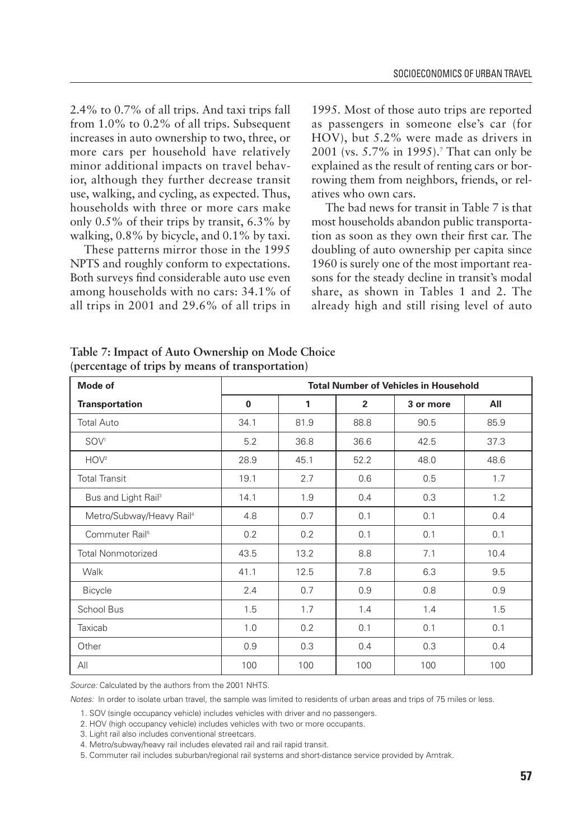2.4% to 0.7% of all trips. And taxi trips fall from 1.0% to 0.2% of all trips. Subsequent increases in auto ownership to two, three, or more cars per household have relatively minor additional impacts on travel behavior, although they further decrease transit use, walking, and cycling, as expected. Thus, households with three or more cars make only 0.5% of their trips by transit, 6.3% by walking, 0.8% by bicycle, and 0.1% by taxi.

These patterns mirror those in the 1995 NPTS and roughly conform to expectations. Both surveys find considerable auto use even among households with no cars: 34.1% of all trips in 2001 and 29.6% of all trips in

1995. Most of those auto trips are reported as passengers in someone else's car (for HOV), but 5.2% were made as drivers in 2001 (vs. 5.7% in 1995).<sup>7</sup> That can only be explained as the result of renting cars or borrowing them from neighbors, friends, or relatives who own cars.

The bad news for transit in Table 7 is that most households abandon public transportation as soon as they own their first car. The doubling of auto ownership per capita since 1960 is surely one of the most important reasons for the steady decline in transit's modal share, as shown in Tables 1 and 2. The already high and still rising level of auto

| <b>Mode of</b>                       |          |      |                | <b>Total Number of Vehicles in Household</b> |      |
|--------------------------------------|----------|------|----------------|----------------------------------------------|------|
| <b>Transportation</b>                | $\bf{0}$ | 1    | $\overline{2}$ | 3 or more                                    | All  |
| <b>Total Auto</b>                    | 34.1     | 81.9 | 88.8           | 90.5                                         | 85.9 |
| SOV <sup>1</sup>                     | 5.2      | 36.8 | 36.6           | 42.5                                         | 37.3 |
| HOV <sup>2</sup>                     | 28.9     | 45.1 | 52.2           | 48.0                                         | 48.6 |
| <b>Total Transit</b>                 | 19.1     | 2.7  | 0.6            | 0.5                                          | 1.7  |
| Bus and Light Rail <sup>3</sup>      | 14.1     | 1.9  | 0.4            | 0.3                                          | 1.2  |
| Metro/Subway/Heavy Rail <sup>4</sup> | 4.8      | 0.7  | 0.1            | 0.1                                          | 0.4  |
| Commuter Rail <sup>5</sup>           | 0.2      | 0.2  | 0.1            | 0.1                                          | 0.1  |
| <b>Total Nonmotorized</b>            | 43.5     | 13.2 | 8.8            | 7.1                                          | 10.4 |
| Walk                                 | 41.1     | 12.5 | 7.8            | 6.3                                          | 9.5  |
| <b>Bicycle</b>                       | 2.4      | 0.7  | 0.9            | 0.8                                          | 0.9  |
| School Bus                           | 1.5      | 1.7  | 1.4            | 1.4                                          | 1.5  |
| Taxicab                              | 1.0      | 0.2  | 0.1            | 0.1                                          | 0.1  |
| Other                                | 0.9      | 0.3  | 0.4            | 0.3                                          | 0.4  |
| All                                  | 100      | 100  | 100            | 100                                          | 100  |

**Table 7: Impact of Auto Ownership on Mode Choice (percentage of trips by means of transportation)**

*Source:* Calculated by the authors from the 2001 NHTS.

*Notes:* In order to isolate urban travel, the sample was limited to residents of urban areas and trips of 75 miles or less.

1. SOV (single occupancy vehicle) includes vehicles with driver and no passengers.

2. HOV (high occupancy vehicle) includes vehicles with two or more occupants.

3. Light rail also includes conventional streetcars.

4. Metro/subway/heavy rail includes elevated rail and rail rapid transit.

5. Commuter rail includes suburban/regional rail systems and short-distance service provided by Amtrak.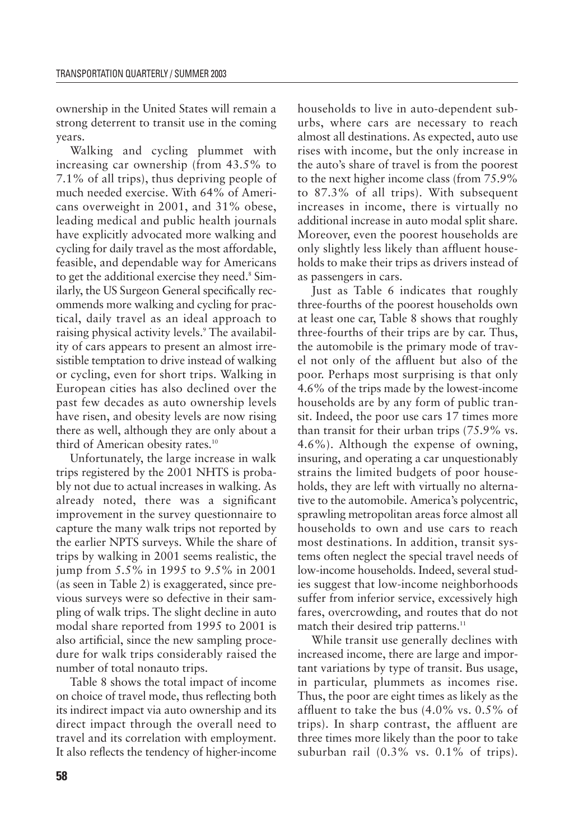ownership in the United States will remain a strong deterrent to transit use in the coming years.

Walking and cycling plummet with increasing car ownership (from 43.5% to 7.1% of all trips), thus depriving people of much needed exercise. With 64% of Americans overweight in 2001, and 31% obese, leading medical and public health journals have explicitly advocated more walking and cycling for daily travel as the most affordable, feasible, and dependable way for Americans to get the additional exercise they need.<sup>8</sup> Similarly, the US Surgeon General specifically recommends more walking and cycling for practical, daily travel as an ideal approach to raising physical activity levels.<sup>9</sup> The availability of cars appears to present an almost irresistible temptation to drive instead of walking or cycling, even for short trips. Walking in European cities has also declined over the past few decades as auto ownership levels have risen, and obesity levels are now rising there as well, although they are only about a third of American obesity rates.<sup>10</sup>

Unfortunately, the large increase in walk trips registered by the 2001 NHTS is probably not due to actual increases in walking. As already noted, there was a significant improvement in the survey questionnaire to capture the many walk trips not reported by the earlier NPTS surveys. While the share of trips by walking in 2001 seems realistic, the jump from 5.5% in 1995 to 9.5% in 2001 (as seen in Table 2) is exaggerated, since previous surveys were so defective in their sampling of walk trips. The slight decline in auto modal share reported from 1995 to 2001 is also artificial, since the new sampling procedure for walk trips considerably raised the number of total nonauto trips.

Table 8 shows the total impact of income on choice of travel mode, thus reflecting both its indirect impact via auto ownership and its direct impact through the overall need to travel and its correlation with employment. It also reflects the tendency of higher-income households to live in auto-dependent suburbs, where cars are necessary to reach almost all destinations. As expected, auto use rises with income, but the only increase in the auto's share of travel is from the poorest to the next higher income class (from 75.9% to 87.3% of all trips). With subsequent increases in income, there is virtually no additional increase in auto modal split share. Moreover, even the poorest households are only slightly less likely than affluent households to make their trips as drivers instead of as passengers in cars.

Just as Table 6 indicates that roughly three-fourths of the poorest households own at least one car, Table 8 shows that roughly three-fourths of their trips are by car. Thus, the automobile is the primary mode of travel not only of the affluent but also of the poor. Perhaps most surprising is that only 4.6% of the trips made by the lowest-income households are by any form of public transit. Indeed, the poor use cars 17 times more than transit for their urban trips (75.9% vs. 4.6%). Although the expense of owning, insuring, and operating a car unquestionably strains the limited budgets of poor households, they are left with virtually no alternative to the automobile. America's polycentric, sprawling metropolitan areas force almost all households to own and use cars to reach most destinations. In addition, transit systems often neglect the special travel needs of low-income households. Indeed, several studies suggest that low-income neighborhoods suffer from inferior service, excessively high fares, overcrowding, and routes that do not match their desired trip patterns.<sup>11</sup>

While transit use generally declines with increased income, there are large and important variations by type of transit. Bus usage, in particular, plummets as incomes rise. Thus, the poor are eight times as likely as the affluent to take the bus (4.0% vs. 0.5% of trips). In sharp contrast, the affluent are three times more likely than the poor to take suburban rail (0.3% vs. 0.1% of trips).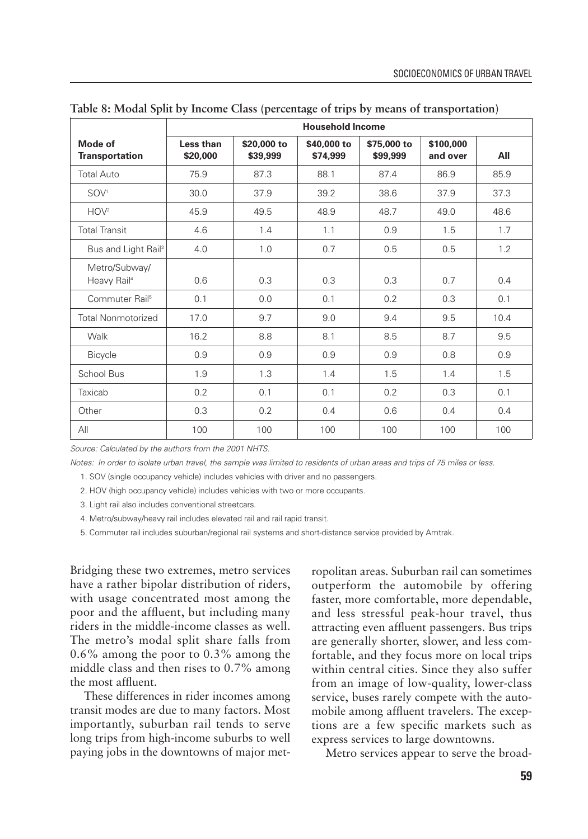|                                          | <b>Household Income</b> |                         |                         |                         |                       |      |  |
|------------------------------------------|-------------------------|-------------------------|-------------------------|-------------------------|-----------------------|------|--|
| Mode of<br><b>Transportation</b>         | Less than<br>\$20,000   | \$20,000 to<br>\$39,999 | \$40,000 to<br>\$74,999 | \$75,000 to<br>\$99,999 | \$100,000<br>and over | All  |  |
| Total Auto                               | 75.9                    | 87.3                    | 88.1                    | 87.4                    | 86.9                  | 85.9 |  |
| SOV <sup>1</sup>                         | 30.0                    | 37.9                    | 39.2                    | 38.6                    | 37.9                  | 37.3 |  |
| HOV <sup>2</sup>                         | 45.9                    | 49.5                    | 48.9                    | 48.7                    | 49.0                  | 48.6 |  |
| <b>Total Transit</b>                     | 4.6                     | 1.4                     | 1.1                     | 0.9                     | 1.5                   | 1.7  |  |
| Bus and Light Rail <sup>3</sup>          | 4.0                     | 1.0                     | 0.7                     | 0.5                     | 0.5                   | 1.2  |  |
| Metro/Subway/<br>Heavy Rail <sup>4</sup> | 0.6                     | 0.3                     | 0.3                     | 0.3                     | 0.7                   | 0.4  |  |
| Commuter Rail <sup>5</sup>               | 0.1                     | 0.0                     | 0.1                     | 0.2                     | 0.3                   | 0.1  |  |
| <b>Total Nonmotorized</b>                | 17.0                    | 9.7                     | 9.0                     | 9.4                     | 9.5                   | 10.4 |  |
| Walk                                     | 16.2                    | 8.8                     | 8.1                     | 8.5                     | 8.7                   | 9.5  |  |
| <b>Bicycle</b>                           | 0.9                     | 0.9                     | 0.9                     | 0.9                     | 0.8                   | 0.9  |  |
| School Bus                               | 1.9                     | 1.3                     | 1.4                     | 1.5                     | 1.4                   | 1.5  |  |
| Taxicab                                  | 0.2                     | 0.1                     | 0.1                     | 0.2                     | 0.3                   | 0.1  |  |
| Other                                    | 0.3                     | 0.2                     | 0.4                     | 0.6                     | 0.4                   | 0.4  |  |
| All                                      | 100                     | 100                     | 100                     | 100                     | 100                   | 100  |  |

**Table 8: Modal Split by Income Class (percentage of trips by means of transportation)**

*Source: Calculated by the authors from the 2001 NHTS.*

*Notes: In order to isolate urban travel, the sample was limited to residents of urban areas and trips of 75 miles or less.*

1. SOV (single occupancy vehicle) includes vehicles with driver and no passengers.

2. HOV (high occupancy vehicle) includes vehicles with two or more occupants.

3. Light rail also includes conventional streetcars.

4. Metro/subway/heavy rail includes elevated rail and rail rapid transit.

5. Commuter rail includes suburban/regional rail systems and short-distance service provided by Amtrak.

Bridging these two extremes, metro services have a rather bipolar distribution of riders, with usage concentrated most among the poor and the affluent, but including many riders in the middle-income classes as well. The metro's modal split share falls from 0.6% among the poor to 0.3% among the middle class and then rises to 0.7% among the most affluent.

These differences in rider incomes among transit modes are due to many factors. Most importantly, suburban rail tends to serve long trips from high-income suburbs to well paying jobs in the downtowns of major metropolitan areas. Suburban rail can sometimes outperform the automobile by offering faster, more comfortable, more dependable, and less stressful peak-hour travel, thus attracting even affluent passengers. Bus trips are generally shorter, slower, and less comfortable, and they focus more on local trips within central cities. Since they also suffer from an image of low-quality, lower-class service, buses rarely compete with the automobile among affluent travelers. The exceptions are a few specific markets such as express services to large downtowns.

Metro services appear to serve the broad-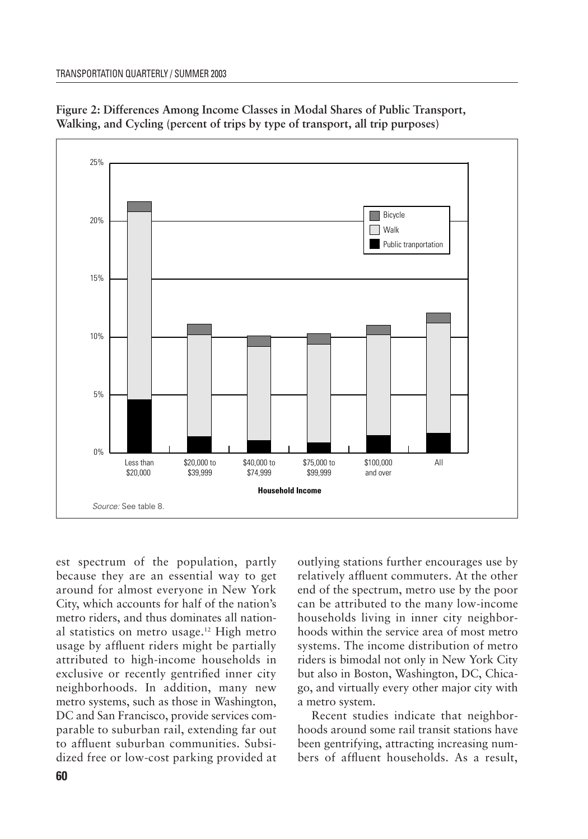

**Figure 2: Differences Among Income Classes in Modal Shares of Public Transport, Walking, and Cycling (percent of trips by type of transport, all trip purposes)**

est spectrum of the population, partly because they are an essential way to get around for almost everyone in New York City, which accounts for half of the nation's metro riders, and thus dominates all national statistics on metro usage.12 High metro usage by affluent riders might be partially attributed to high-income households in exclusive or recently gentrified inner city neighborhoods. In addition, many new metro systems, such as those in Washington, DC and San Francisco, provide services comparable to suburban rail, extending far out to affluent suburban communities. Subsidized free or low-cost parking provided at

outlying stations further encourages use by relatively affluent commuters. At the other end of the spectrum, metro use by the poor can be attributed to the many low-income households living in inner city neighborhoods within the service area of most metro systems. The income distribution of metro riders is bimodal not only in New York City but also in Boston, Washington, DC, Chicago, and virtually every other major city with a metro system.

Recent studies indicate that neighborhoods around some rail transit stations have been gentrifying, attracting increasing numbers of affluent households. As a result,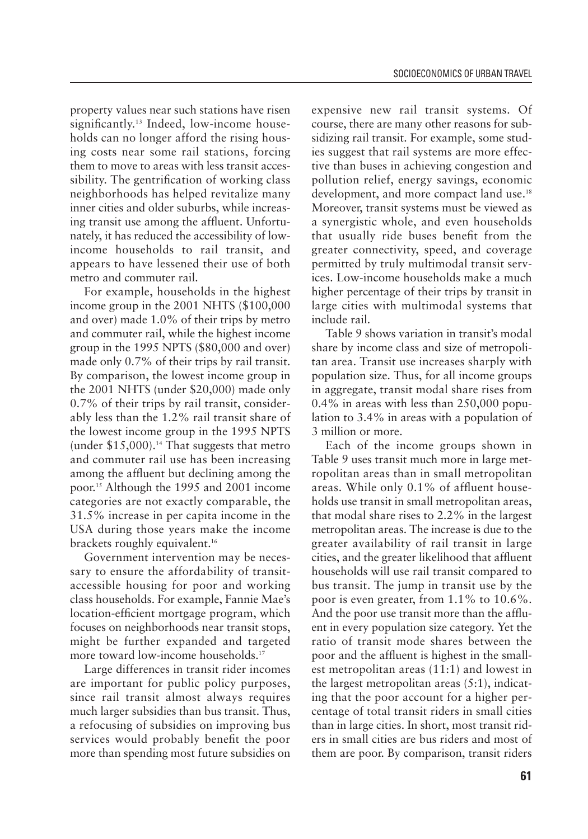property values near such stations have risen significantly.<sup>13</sup> Indeed, low-income households can no longer afford the rising housing costs near some rail stations, forcing them to move to areas with less transit accessibility. The gentrification of working class neighborhoods has helped revitalize many inner cities and older suburbs, while increasing transit use among the affluent. Unfortunately, it has reduced the accessibility of lowincome households to rail transit, and appears to have lessened their use of both metro and commuter rail.

For example, households in the highest income group in the 2001 NHTS (\$100,000 and over) made 1.0% of their trips by metro and commuter rail, while the highest income group in the 1995 NPTS (\$80,000 and over) made only 0.7% of their trips by rail transit. By comparison, the lowest income group in the 2001 NHTS (under \$20,000) made only 0.7% of their trips by rail transit, considerably less than the 1.2% rail transit share of the lowest income group in the 1995 NPTS (under  $$15,000$ ).<sup>14</sup> That suggests that metro and commuter rail use has been increasing among the affluent but declining among the poor.15 Although the 1995 and 2001 income categories are not exactly comparable, the 31.5% increase in per capita income in the USA during those years make the income brackets roughly equivalent.<sup>16</sup>

Government intervention may be necessary to ensure the affordability of transitaccessible housing for poor and working class households. For example, Fannie Mae's location-efficient mortgage program, which focuses on neighborhoods near transit stops, might be further expanded and targeted more toward low-income households.<sup>17</sup>

Large differences in transit rider incomes are important for public policy purposes, since rail transit almost always requires much larger subsidies than bus transit. Thus, a refocusing of subsidies on improving bus services would probably benefit the poor more than spending most future subsidies on expensive new rail transit systems. Of course, there are many other reasons for subsidizing rail transit. For example, some studies suggest that rail systems are more effective than buses in achieving congestion and pollution relief, energy savings, economic development, and more compact land use.<sup>18</sup> Moreover, transit systems must be viewed as a synergistic whole, and even households that usually ride buses benefit from the greater connectivity, speed, and coverage permitted by truly multimodal transit services. Low-income households make a much higher percentage of their trips by transit in large cities with multimodal systems that include rail.

Table 9 shows variation in transit's modal share by income class and size of metropolitan area. Transit use increases sharply with population size. Thus, for all income groups in aggregate, transit modal share rises from 0.4% in areas with less than 250,000 population to 3.4% in areas with a population of 3 million or more.

Each of the income groups shown in Table 9 uses transit much more in large metropolitan areas than in small metropolitan areas. While only 0.1% of affluent households use transit in small metropolitan areas, that modal share rises to 2.2% in the largest metropolitan areas. The increase is due to the greater availability of rail transit in large cities, and the greater likelihood that affluent households will use rail transit compared to bus transit. The jump in transit use by the poor is even greater, from 1.1% to 10.6%. And the poor use transit more than the affluent in every population size category. Yet the ratio of transit mode shares between the poor and the affluent is highest in the smallest metropolitan areas (11:1) and lowest in the largest metropolitan areas (5:1), indicating that the poor account for a higher percentage of total transit riders in small cities than in large cities. In short, most transit riders in small cities are bus riders and most of them are poor. By comparison, transit riders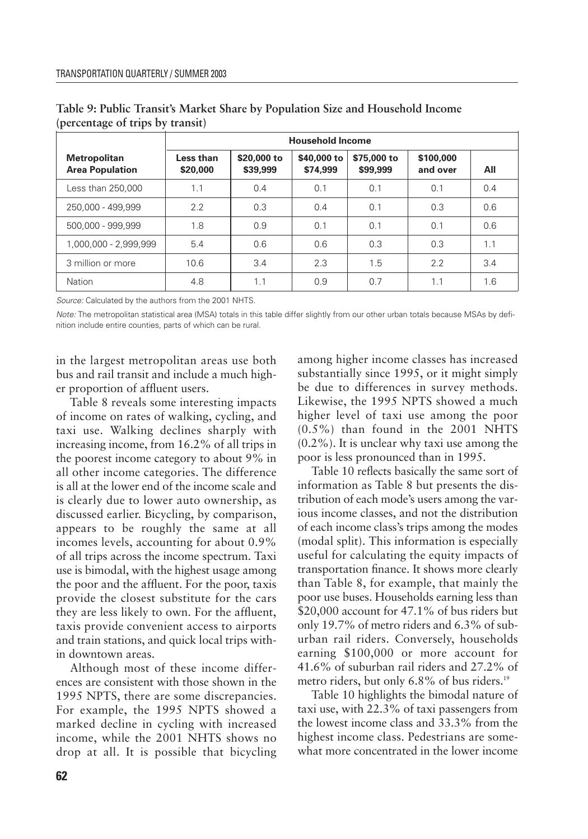|                                               |                       | <b>Household Income</b> |                         |                         |                       |     |  |
|-----------------------------------------------|-----------------------|-------------------------|-------------------------|-------------------------|-----------------------|-----|--|
| <b>Metropolitan</b><br><b>Area Population</b> | Less than<br>\$20,000 | \$20,000 to<br>\$39,999 | \$40,000 to<br>\$74,999 | \$75,000 to<br>\$99,999 | \$100,000<br>and over | All |  |
| Less than 250,000                             | 1.1                   | 0.4                     | 0.1                     | 0.1                     | 0.1                   | 0.4 |  |
| 250.000 - 499.999                             | 2.2                   | 0.3                     | 0.4                     | 0.1                     | 0.3                   | 0.6 |  |
| 500.000 - 999.999                             | 1.8                   | 0.9                     | 0.1                     | 0.1                     | 0.1                   | 0.6 |  |
| 1.000.000 - 2.999.999                         | 5.4                   | 0.6                     | 0.6                     | 0.3                     | 0.3                   | 1.1 |  |
| 3 million or more                             | 10.6                  | 3.4                     | 2.3                     | 1.5                     | 2.2                   | 3.4 |  |
| Nation                                        | 4.8                   | 1.1                     | 0.9                     | 0.7                     | 1.1                   | 1.6 |  |

**Table 9: Public Transit's Market Share by Population Size and Household Income (percentage of trips by transit)**

*Source:* Calculated by the authors from the 2001 NHTS.

*Note:* The metropolitan statistical area (MSA) totals in this table differ slightly from our other urban totals because MSAs by definition include entire counties, parts of which can be rural.

in the largest metropolitan areas use both bus and rail transit and include a much higher proportion of affluent users.

Table 8 reveals some interesting impacts of income on rates of walking, cycling, and taxi use. Walking declines sharply with increasing income, from 16.2% of all trips in the poorest income category to about 9% in all other income categories. The difference is all at the lower end of the income scale and is clearly due to lower auto ownership, as discussed earlier. Bicycling, by comparison, appears to be roughly the same at all incomes levels, accounting for about 0.9% of all trips across the income spectrum. Taxi use is bimodal, with the highest usage among the poor and the affluent. For the poor, taxis provide the closest substitute for the cars they are less likely to own. For the affluent, taxis provide convenient access to airports and train stations, and quick local trips within downtown areas.

Although most of these income differences are consistent with those shown in the 1995 NPTS, there are some discrepancies. For example, the 1995 NPTS showed a marked decline in cycling with increased income, while the 2001 NHTS shows no drop at all. It is possible that bicycling among higher income classes has increased substantially since 1995, or it might simply be due to differences in survey methods. Likewise, the 1995 NPTS showed a much higher level of taxi use among the poor (0.5%) than found in the 2001 NHTS (0.2%). It is unclear why taxi use among the poor is less pronounced than in 1995.

Table 10 reflects basically the same sort of information as Table 8 but presents the distribution of each mode's users among the various income classes, and not the distribution of each income class's trips among the modes (modal split). This information is especially useful for calculating the equity impacts of transportation finance. It shows more clearly than Table 8, for example, that mainly the poor use buses. Households earning less than \$20,000 account for 47.1% of bus riders but only 19.7% of metro riders and 6.3% of suburban rail riders. Conversely, households earning \$100,000 or more account for 41.6% of suburban rail riders and 27.2% of metro riders, but only 6.8% of bus riders.<sup>19</sup>

Table 10 highlights the bimodal nature of taxi use, with 22.3% of taxi passengers from the lowest income class and 33.3% from the highest income class. Pedestrians are somewhat more concentrated in the lower income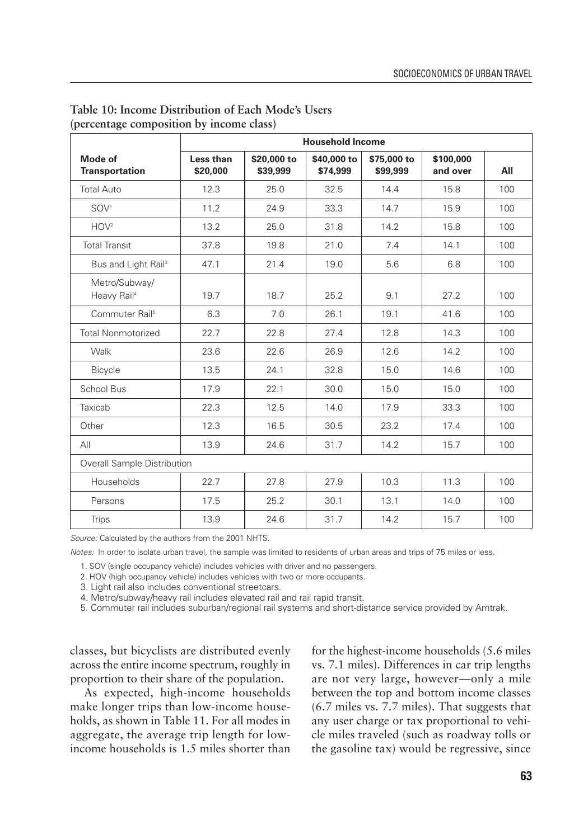|                                          |                       | <b>Household Income</b> |                         |                         |                       |     |  |
|------------------------------------------|-----------------------|-------------------------|-------------------------|-------------------------|-----------------------|-----|--|
| Mode of<br><b>Transportation</b>         | Less than<br>\$20,000 | \$20,000 to<br>\$39,999 | \$40,000 to<br>\$74,999 | \$75,000 to<br>\$99,999 | \$100,000<br>and over | All |  |
| <b>Total Auto</b>                        | 12.3                  | 25.0                    | 32.5                    | 14.4                    | 15.8                  | 100 |  |
| SOV <sup>1</sup>                         | 11.2                  | 24.9                    | 33.3                    | 14.7                    | 15.9                  | 100 |  |
| HOV <sup>2</sup>                         | 13.2                  | 25.0                    | 31.8                    | 14.2                    | 15.8                  | 100 |  |
| <b>Total Transit</b>                     | 37.8                  | 19.8                    | 21.0                    | 7.4                     | 14.1                  | 100 |  |
| Bus and Light Rail <sup>3</sup>          | 47.1                  | 21.4                    | 19.0                    | 5.6                     | 6.8                   | 100 |  |
| Metro/Subway/<br>Heavy Rail <sup>4</sup> | 19.7                  | 18.7                    | 25.2                    | 9.1                     | 27.2                  | 100 |  |
| Commuter Rail <sup>5</sup>               | 6.3                   | 7.0                     | 26.1                    | 19.1                    | 41.6                  | 100 |  |
| <b>Total Nonmotorized</b>                | 22.7                  | 22.8                    | 27.4                    | 12.8                    | 14.3                  | 100 |  |
| Walk                                     | 23.6                  | 22.6                    | 26.9                    | 12.6                    | 14.2                  | 100 |  |
| <b>Bicycle</b>                           | 13.5                  | 24.1                    | 32.8                    | 15.0                    | 14.6                  | 100 |  |
| School Bus                               | 17.9                  | 22.1                    | 30.0                    | 15.0                    | 15.0                  | 100 |  |
| Taxicab                                  | 22.3                  | 12.5                    | 14.0                    | 17.9                    | 33.3                  | 100 |  |
| Other                                    | 12.3                  | 16.5                    | 30.5                    | 23.2                    | 17.4                  | 100 |  |
| All                                      | 13.9                  | 24.6                    | 31.7                    | 14.2                    | 15.7                  | 100 |  |
| Overall Sample Distribution              |                       |                         |                         |                         |                       |     |  |
| Households                               | 22.7                  | 27.8                    | 27.9                    | 10.3                    | 11.3                  | 100 |  |
| Persons                                  | 17.5                  | 25.2                    | 30.1                    | 13.1                    | 14.0                  | 100 |  |
| <b>Trips</b>                             | 13.9                  | 24.6                    | 31.7                    | 14.2                    | 15.7                  | 100 |  |

**Table 10: Income Distribution of Each Mode's Users (percentage composition by income class)**

*Source:* Calculated by the authors from the 2001 NHTS.

*Notes:* In order to isolate urban travel, the sample was limited to residents of urban areas and trips of 75 miles or less.

1. SOV (single occupancy vehicle) includes vehicles with driver and no passengers.

2. HOV (high occupancy vehicle) includes vehicles with two or more occupants.

3. Light rail also includes conventional streetcars.

4. Metro/subway/heavy rail includes elevated rail and rail rapid transit.

5. Commuter rail includes suburban/regional rail systems and short-distance service provided by Amtrak.

classes, but bicyclists are distributed evenly across the entire income spectrum, roughly in proportion to their share of the population.

As expected, high-income households make longer trips than low-income households, as shown in Table 11. For all modes in aggregate, the average trip length for lowincome households is 1.5 miles shorter than for the highest-income households (5.6 miles vs. 7.1 miles). Differences in car trip lengths are not very large, however—only a mile between the top and bottom income classes (6.7 miles vs. 7.7 miles). That suggests that any user charge or tax proportional to vehicle miles traveled (such as roadway tolls or the gasoline tax) would be regressive, since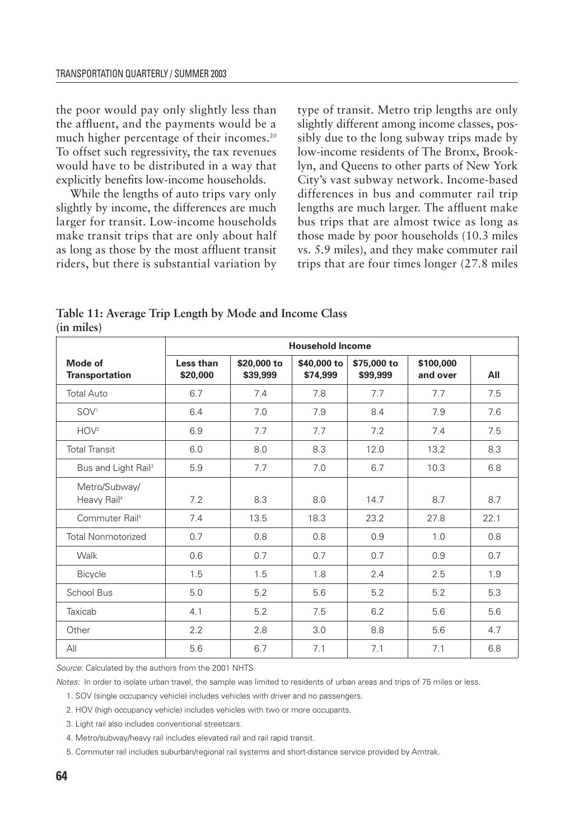the poor would pay only slightly less than the affluent, and the payments would be a much higher percentage of their incomes.<sup>20</sup> To offset such regressivity, the tax revenues would have to be distributed in a way that explicitly benefits low-income households.

While the lengths of auto trips vary only slightly by income, the differences are much larger for transit. Low-income households make transit trips that are only about half as long as those by the most affluent transit riders, but there is substantial variation by type of transit. Metro trip lengths are only slightly different among income classes, possibly due to the long subway trips made by low-income residents of The Bronx, Brooklyn, and Queens to other parts of New York City's vast subway network. Income-based differences in bus and commuter rail trip lengths are much larger. The affluent make bus trips that are almost twice as long as those made by poor households (10.3 miles vs. 5.9 miles), and they make commuter rail trips that are four times longer (27.8 miles

|                                          | <b>Household Income</b> |                         |                         |                         |                       |      |
|------------------------------------------|-------------------------|-------------------------|-------------------------|-------------------------|-----------------------|------|
| Mode of<br><b>Transportation</b>         | Less than<br>\$20,000   | \$20,000 to<br>\$39,999 | \$40,000 to<br>\$74,999 | \$75,000 to<br>\$99,999 | \$100,000<br>and over | All  |
| <b>Total Auto</b>                        | 6.7                     | 7.4                     | 7.8                     | 7.7                     | 7.7                   | 7.5  |
| SOV <sup>1</sup>                         | 6.4                     | 7.0                     | 7.9                     | 8.4                     | 7.9                   | 7.6  |
| HOV <sup>2</sup>                         | 6.9                     | 7.7                     | 7.7                     | 7.2                     | 7.4                   | 7.5  |
| <b>Total Transit</b>                     | 6.0                     | 8.0                     | 8.3                     | 12.0                    | 13.2                  | 8.3  |
| Bus and Light Rail <sup>3</sup>          | 5.9                     | 7.7                     | 7.0                     | 6.7                     | 10.3                  | 6.8  |
| Metro/Subway/<br>Heavy Rail <sup>4</sup> | 7.2                     | 8.3                     | 8.0                     | 14.7                    | 8.7                   | 8.7  |
| Commuter Rail <sup>5</sup>               | 7.4                     | 13.5                    | 18.3                    | 23.2                    | 27.8                  | 22.1 |
| <b>Total Nonmotorized</b>                | 0.7                     | 0.8                     | 0.8                     | 0.9                     | 1.0                   | 0.8  |
| Walk                                     | 0.6                     | 0.7                     | 0.7                     | 0.7                     | 0.9                   | 0.7  |
| <b>Bicycle</b>                           | 1.5                     | 1.5                     | 1.8                     | 2.4                     | 2.5                   | 1.9  |
| School Bus                               | 5.0                     | 5.2                     | 5.6                     | 5.2                     | 5.2                   | 5.3  |
| Taxicab                                  | 4.1                     | 5.2                     | 7.5                     | 6.2                     | 5.6                   | 5.6  |
| Other                                    | 2.2                     | 2.8                     | 3.0                     | 8.8                     | 5.6                   | 4.7  |
| All                                      | 5.6                     | 6.7                     | 7.1                     | 7.1                     | 7.1                   | 6.8  |

**Table 11: Average Trip Length by Mode and Income Class (in miles)**

*Source:* Calculated by the authors from the 2001 NHTS.

*Notes:* In order to isolate urban travel, the sample was limited to residents of urban areas and trips of 75 miles or less.

1. SOV (single occupancy vehicle) includes vehicles with driver and no passengers.

2. HOV (high occupancy vehicle) includes vehicles with two or more occupants.

3. Light rail also includes conventional streetcars.

4. Metro/subway/heavy rail includes elevated rail and rail rapid transit.

5. Commuter rail includes suburban/regional rail systems and short-distance service provided by Amtrak.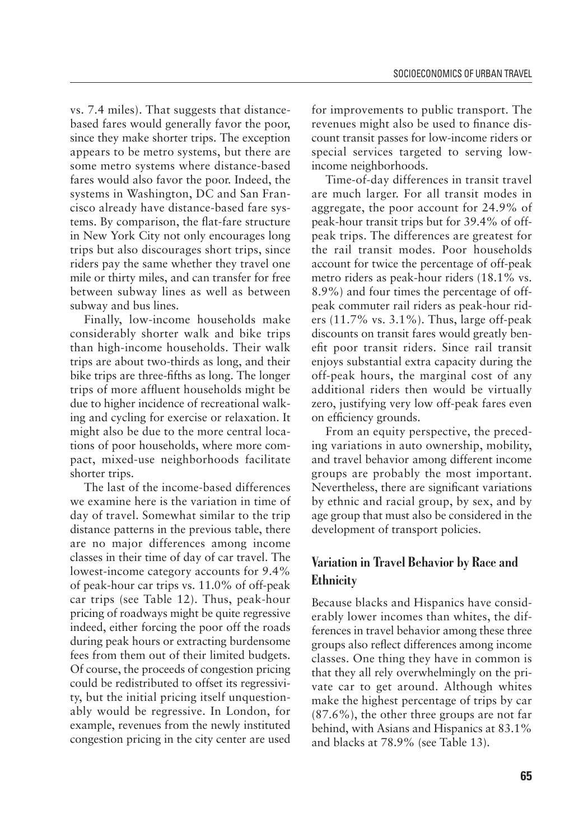vs. 7.4 miles). That suggests that distancebased fares would generally favor the poor, since they make shorter trips. The exception appears to be metro systems, but there are some metro systems where distance-based fares would also favor the poor. Indeed, the systems in Washington, DC and San Francisco already have distance-based fare systems. By comparison, the flat-fare structure in New York City not only encourages long trips but also discourages short trips, since riders pay the same whether they travel one mile or thirty miles, and can transfer for free between subway lines as well as between subway and bus lines.

Finally, low-income households make considerably shorter walk and bike trips than high-income households. Their walk trips are about two-thirds as long, and their bike trips are three-fifths as long. The longer trips of more affluent households might be due to higher incidence of recreational walking and cycling for exercise or relaxation. It might also be due to the more central locations of poor households, where more compact, mixed-use neighborhoods facilitate shorter trips.

The last of the income-based differences we examine here is the variation in time of day of travel. Somewhat similar to the trip distance patterns in the previous table, there are no major differences among income classes in their time of day of car travel. The lowest-income category accounts for 9.4% of peak-hour car trips vs. 11.0% of off-peak car trips (see Table 12). Thus, peak-hour pricing of roadways might be quite regressive indeed, either forcing the poor off the roads during peak hours or extracting burdensome fees from them out of their limited budgets. Of course, the proceeds of congestion pricing could be redistributed to offset its regressivity, but the initial pricing itself unquestionably would be regressive. In London, for example, revenues from the newly instituted congestion pricing in the city center are used for improvements to public transport. The revenues might also be used to finance discount transit passes for low-income riders or special services targeted to serving lowincome neighborhoods.

Time-of-day differences in transit travel are much larger. For all transit modes in aggregate, the poor account for 24.9% of peak-hour transit trips but for 39.4% of offpeak trips. The differences are greatest for the rail transit modes. Poor households account for twice the percentage of off-peak metro riders as peak-hour riders (18.1% vs. 8.9%) and four times the percentage of offpeak commuter rail riders as peak-hour riders (11.7% vs. 3.1%). Thus, large off-peak discounts on transit fares would greatly benefit poor transit riders. Since rail transit enjoys substantial extra capacity during the off-peak hours, the marginal cost of any additional riders then would be virtually zero, justifying very low off-peak fares even on efficiency grounds.

From an equity perspective, the preceding variations in auto ownership, mobility, and travel behavior among different income groups are probably the most important. Nevertheless, there are significant variations by ethnic and racial group, by sex, and by age group that must also be considered in the development of transport policies.

# **Variation in Travel Behavior by Race and Ethnicity**

Because blacks and Hispanics have considerably lower incomes than whites, the differences in travel behavior among these three groups also reflect differences among income classes. One thing they have in common is that they all rely overwhelmingly on the private car to get around. Although whites make the highest percentage of trips by car (87.6%), the other three groups are not far behind, with Asians and Hispanics at 83.1% and blacks at 78.9% (see Table 13).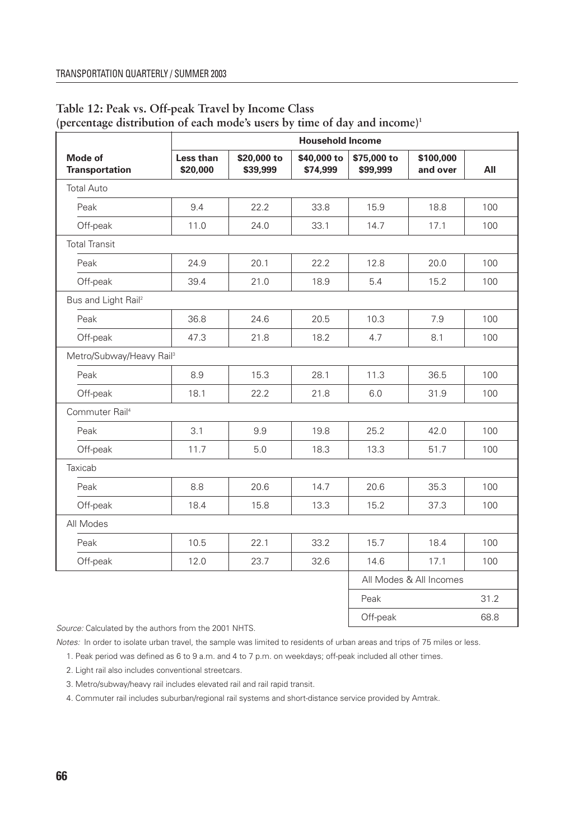|                                      |                       |                         | <b>Household Income</b> |                         |                         |      |
|--------------------------------------|-----------------------|-------------------------|-------------------------|-------------------------|-------------------------|------|
| Mode of<br><b>Transportation</b>     | Less than<br>\$20,000 | \$20,000 to<br>\$39,999 | \$40,000 to<br>\$74,999 | \$75,000 to<br>\$99,999 | \$100,000<br>and over   | All  |
| <b>Total Auto</b>                    |                       |                         |                         |                         |                         |      |
| Peak                                 | 9.4                   | 22.2                    | 33.8                    | 15.9                    | 18.8                    | 100  |
| Off-peak                             | 11.0                  | 24.0                    | 33.1                    | 14.7                    | 17.1                    | 100  |
| <b>Total Transit</b>                 |                       |                         |                         |                         |                         |      |
| Peak                                 | 24.9                  | 20.1                    | 22.2                    | 12.8                    | 20.0                    | 100  |
| Off-peak                             | 39.4                  | 21.0                    | 18.9                    | 5.4                     | 15.2                    | 100  |
| Bus and Light Rail <sup>2</sup>      |                       |                         |                         |                         |                         |      |
| Peak                                 | 36.8                  | 24.6                    | 20.5                    | 10.3                    | 7.9                     | 100  |
| Off-peak                             | 47.3                  | 21.8                    | 18.2                    | 4.7                     | 8.1                     | 100  |
| Metro/Subway/Heavy Rail <sup>3</sup> |                       |                         |                         |                         |                         |      |
| Peak                                 | 8.9                   | 15.3                    | 28.1                    | 11.3                    | 36.5                    | 100  |
| Off-peak                             | 18.1                  | 22.2                    | 21.8                    | 6.0                     | 31.9                    | 100  |
| Commuter Rail <sup>4</sup>           |                       |                         |                         |                         |                         |      |
| Peak                                 | 3.1                   | 9.9                     | 19.8                    | 25.2                    | 42.0                    | 100  |
| Off-peak                             | 11.7                  | 5.0                     | 18.3                    | 13.3                    | 51.7                    | 100  |
| Taxicab                              |                       |                         |                         |                         |                         |      |
| Peak                                 | 8.8                   | 20.6                    | 14.7                    | 20.6                    | 35.3                    | 100  |
| Off-peak                             | 18.4                  | 15.8                    | 13.3                    | 15.2                    | 37.3                    | 100  |
| All Modes                            |                       |                         |                         |                         |                         |      |
| Peak                                 | 10.5                  | 22.1                    | 33.2                    | 15.7                    | 18.4                    | 100  |
| Off-peak                             | 12.0                  | 23.7                    | 32.6                    | 14.6                    | 17.1                    | 100  |
|                                      |                       |                         |                         |                         | All Modes & All Incomes |      |
|                                      |                       |                         |                         | Peak                    |                         | 31.2 |
|                                      |                       |                         |                         | Off-peak                |                         | 68.8 |

## **Table 12: Peak vs. Off-peak Travel by Income Class (percentage distribution of each mode's users by time of day and income)1**

*Source:* Calculated by the authors from the 2001 NHTS.

*Notes:* In order to isolate urban travel, the sample was limited to residents of urban areas and trips of 75 miles or less.

1. Peak period was defined as 6 to 9 a.m. and 4 to 7 p.m. on weekdays; off-peak included all other times.

2. Light rail also includes conventional streetcars.

3. Metro/subway/heavy rail includes elevated rail and rail rapid transit.

4. Commuter rail includes suburban/regional rail systems and short-distance service provided by Amtrak.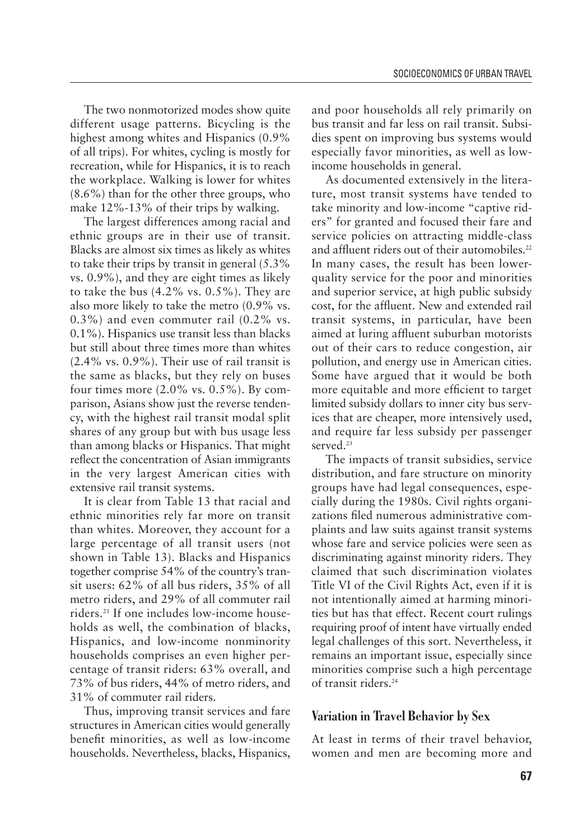The two nonmotorized modes show quite different usage patterns. Bicycling is the highest among whites and Hispanics (0.9% of all trips). For whites, cycling is mostly for recreation, while for Hispanics, it is to reach the workplace. Walking is lower for whites (8.6%) than for the other three groups, who make 12%-13% of their trips by walking.

The largest differences among racial and ethnic groups are in their use of transit. Blacks are almost six times as likely as whites to take their trips by transit in general (5.3% vs. 0.9%), and they are eight times as likely to take the bus  $(4.2\% \text{ vs. } 0.5\%)$ . They are also more likely to take the metro (0.9% vs. 0.3%) and even commuter rail (0.2% vs. 0.1%). Hispanics use transit less than blacks but still about three times more than whites (2.4% vs. 0.9%). Their use of rail transit is the same as blacks, but they rely on buses four times more  $(2.0\% \text{ vs. } 0.5\%)$ . By comparison, Asians show just the reverse tendency, with the highest rail transit modal split shares of any group but with bus usage less than among blacks or Hispanics. That might reflect the concentration of Asian immigrants in the very largest American cities with extensive rail transit systems.

It is clear from Table 13 that racial and ethnic minorities rely far more on transit than whites. Moreover, they account for a large percentage of all transit users (not shown in Table 13). Blacks and Hispanics together comprise 54% of the country's transit users: 62% of all bus riders, 35% of all metro riders, and 29% of all commuter rail riders.21 If one includes low-income households as well, the combination of blacks, Hispanics, and low-income nonminority households comprises an even higher percentage of transit riders: 63% overall, and 73% of bus riders, 44% of metro riders, and 31% of commuter rail riders.

Thus, improving transit services and fare structures in American cities would generally benefit minorities, as well as low-income households. Nevertheless, blacks, Hispanics, and poor households all rely primarily on bus transit and far less on rail transit. Subsidies spent on improving bus systems would especially favor minorities, as well as lowincome households in general.

As documented extensively in the literature, most transit systems have tended to take minority and low-income "captive riders" for granted and focused their fare and service policies on attracting middle-class and affluent riders out of their automobiles.<sup>22</sup> In many cases, the result has been lowerquality service for the poor and minorities and superior service, at high public subsidy cost, for the affluent. New and extended rail transit systems, in particular, have been aimed at luring affluent suburban motorists out of their cars to reduce congestion, air pollution, and energy use in American cities. Some have argued that it would be both more equitable and more efficient to target limited subsidy dollars to inner city bus services that are cheaper, more intensively used, and require far less subsidy per passenger served<sup>23</sup>

The impacts of transit subsidies, service distribution, and fare structure on minority groups have had legal consequences, especially during the 1980s. Civil rights organizations filed numerous administrative complaints and law suits against transit systems whose fare and service policies were seen as discriminating against minority riders. They claimed that such discrimination violates Title VI of the Civil Rights Act, even if it is not intentionally aimed at harming minorities but has that effect. Recent court rulings requiring proof of intent have virtually ended legal challenges of this sort. Nevertheless, it remains an important issue, especially since minorities comprise such a high percentage of transit riders.24

## **Variation in Travel Behavior by Sex**

At least in terms of their travel behavior, women and men are becoming more and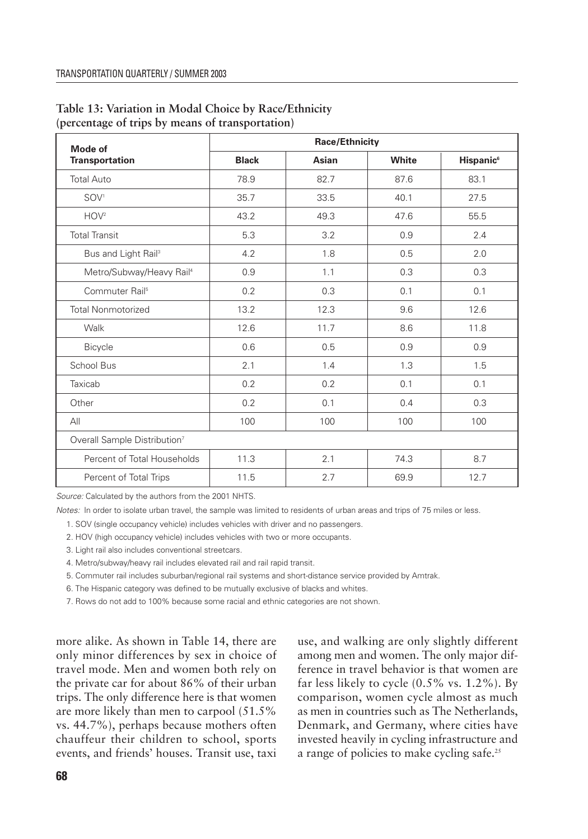| Mode of                                  | <b>Race/Ethnicity</b> |      |       |                             |  |  |
|------------------------------------------|-----------------------|------|-------|-----------------------------|--|--|
| <b>Transportation</b>                    | <b>Black</b><br>Asian |      | White | <b>Hispanic<sup>6</sup></b> |  |  |
| <b>Total Auto</b>                        | 78.9                  | 82.7 | 87.6  | 83.1                        |  |  |
| SOV <sup>1</sup>                         | 35.7                  | 33.5 | 40.1  | 27.5                        |  |  |
| HOV <sup>2</sup>                         | 43.2                  | 49.3 | 47.6  | 55.5                        |  |  |
| <b>Total Transit</b>                     | 5.3                   | 3.2  | 0.9   | 2.4                         |  |  |
| Bus and Light Rail <sup>3</sup>          | 4.2                   | 1.8  | 0.5   | 2.0                         |  |  |
| Metro/Subway/Heavy Rail <sup>4</sup>     | 0.9                   | 1.1  | 0.3   | 0.3                         |  |  |
| Commuter Rail <sup>5</sup>               | 0.2                   | 0.3  | 0.1   | 0.1                         |  |  |
| <b>Total Nonmotorized</b>                | 13.2                  | 12.3 | 9.6   | 12.6                        |  |  |
| Walk                                     | 12.6                  | 11.7 | 8.6   | 11.8                        |  |  |
| Bicycle                                  | 0.6                   | 0.5  | 0.9   | 0.9                         |  |  |
| School Bus                               | 2.1                   | 1.4  | 1.3   | 1.5                         |  |  |
| Taxicab                                  | 0.2                   | 0.2  | 0.1   | 0.1                         |  |  |
| Other                                    | 0.2                   | 0.1  | 0.4   | 0.3                         |  |  |
| AlI                                      | 100                   | 100  | 100   | 100                         |  |  |
| Overall Sample Distribution <sup>7</sup> |                       |      |       |                             |  |  |
| Percent of Total Households              | 11.3                  | 2.1  | 74.3  | 8.7                         |  |  |
| Percent of Total Trips                   | 11.5                  | 2.7  | 69.9  | 12.7                        |  |  |

## **Table 13: Variation in Modal Choice by Race/Ethnicity (percentage of trips by means of transportation)**

*Source:* Calculated by the authors from the 2001 NHTS.

*Notes:* In order to isolate urban travel, the sample was limited to residents of urban areas and trips of 75 miles or less.

1. SOV (single occupancy vehicle) includes vehicles with driver and no passengers.

2. HOV (high occupancy vehicle) includes vehicles with two or more occupants.

3. Light rail also includes conventional streetcars.

4. Metro/subway/heavy rail includes elevated rail and rail rapid transit.

5. Commuter rail includes suburban/regional rail systems and short-distance service provided by Amtrak.

6. The Hispanic category was defined to be mutually exclusive of blacks and whites.

7. Rows do not add to 100% because some racial and ethnic categories are not shown.

more alike. As shown in Table 14, there are only minor differences by sex in choice of travel mode. Men and women both rely on the private car for about 86% of their urban trips. The only difference here is that women are more likely than men to carpool (51.5% vs. 44.7%), perhaps because mothers often chauffeur their children to school, sports events, and friends' houses. Transit use, taxi

use, and walking are only slightly different among men and women. The only major difference in travel behavior is that women are far less likely to cycle  $(0.5\% \text{ vs. } 1.2\%)$ . By comparison, women cycle almost as much as men in countries such as The Netherlands, Denmark, and Germany, where cities have invested heavily in cycling infrastructure and a range of policies to make cycling safe.<sup>25</sup>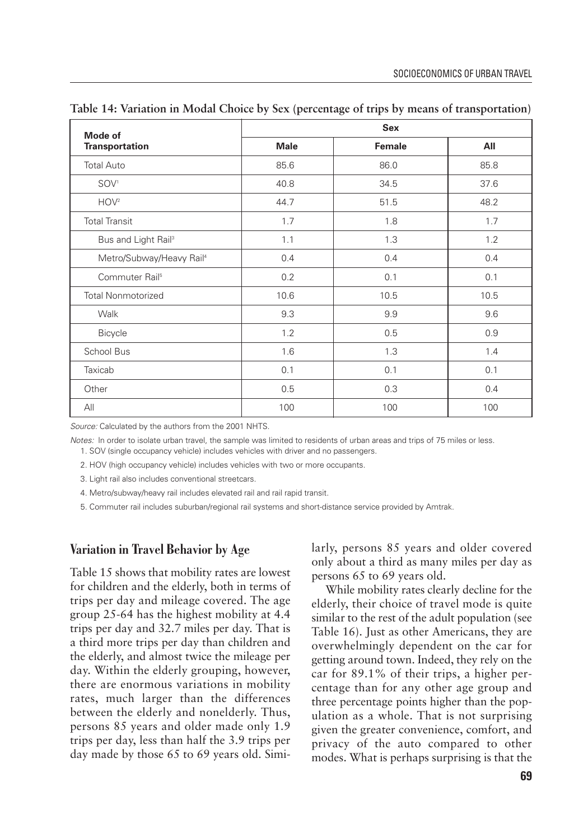| <b>Mode of</b>                       | <b>Sex</b>  |               |      |  |  |  |
|--------------------------------------|-------------|---------------|------|--|--|--|
| <b>Transportation</b>                | <b>Male</b> | <b>Female</b> | All  |  |  |  |
| <b>Total Auto</b>                    | 85.6        | 86.0          | 85.8 |  |  |  |
| SOV <sup>1</sup>                     | 40.8        | 34.5          | 37.6 |  |  |  |
| HOV <sup>2</sup>                     | 44.7        | 51.5          | 48.2 |  |  |  |
| <b>Total Transit</b>                 | 1.7         | 1.8           | 1.7  |  |  |  |
| Bus and Light Rail <sup>3</sup>      | 1.1         | 1.3           | 1.2  |  |  |  |
| Metro/Subway/Heavy Rail <sup>4</sup> | 0.4         | 0.4           | 0.4  |  |  |  |
| Commuter Rail <sup>5</sup>           | 0.2         | 0.1           | 0.1  |  |  |  |
| <b>Total Nonmotorized</b>            | 10.6        | 10.5          | 10.5 |  |  |  |
| Walk                                 | 9.3         | 9.9           | 9.6  |  |  |  |
| Bicycle                              | 1.2         | 0.5           | 0.9  |  |  |  |
| School Bus                           | 1.6         | 1.3           | 1.4  |  |  |  |
| Taxicab                              | 0.1         | 0.1           | 0.1  |  |  |  |
| Other                                | 0.5         | 0.3           | 0.4  |  |  |  |
| All                                  | 100         | 100           | 100  |  |  |  |

**Table 14: Variation in Modal Choice by Sex (percentage of trips by means of transportation)**

*Source:* Calculated by the authors from the 2001 NHTS.

*Notes:* In order to isolate urban travel, the sample was limited to residents of urban areas and trips of 75 miles or less. 1. SOV (single occupancy vehicle) includes vehicles with driver and no passengers.

2. HOV (high occupancy vehicle) includes vehicles with two or more occupants.

3. Light rail also includes conventional streetcars.

4. Metro/subway/heavy rail includes elevated rail and rail rapid transit.

5. Commuter rail includes suburban/regional rail systems and short-distance service provided by Amtrak.

#### **Variation in Travel Behavior by Age**

Table 15 shows that mobility rates are lowest for children and the elderly, both in terms of trips per day and mileage covered. The age group 25-64 has the highest mobility at 4.4 trips per day and 32.7 miles per day. That is a third more trips per day than children and the elderly, and almost twice the mileage per day. Within the elderly grouping, however, there are enormous variations in mobility rates, much larger than the differences between the elderly and nonelderly. Thus, persons 85 years and older made only 1.9 trips per day, less than half the 3.9 trips per day made by those 65 to 69 years old. Similarly, persons 85 years and older covered only about a third as many miles per day as persons 65 to 69 years old.

While mobility rates clearly decline for the elderly, their choice of travel mode is quite similar to the rest of the adult population (see Table 16). Just as other Americans, they are overwhelmingly dependent on the car for getting around town. Indeed, they rely on the car for 89.1% of their trips, a higher percentage than for any other age group and three percentage points higher than the population as a whole. That is not surprising given the greater convenience, comfort, and privacy of the auto compared to other modes. What is perhaps surprising is that the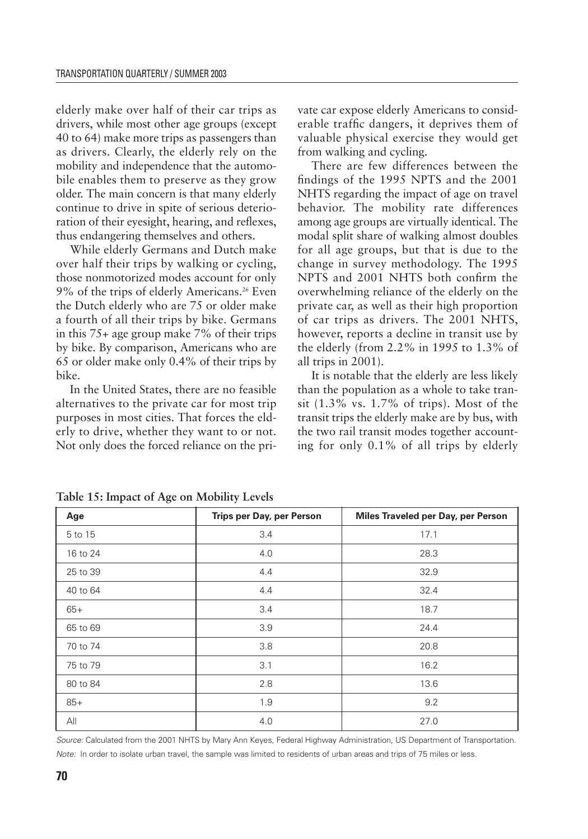elderly make over half of their car trips as drivers, while most other age groups (except 40 to 64) make more trips as passengers than as drivers. Clearly, the elderly rely on the mobility and independence that the automobile enables them to preserve as they grow older. The main concern is that many elderly continue to drive in spite of serious deterioration of their eyesight, hearing, and reflexes, thus endangering themselves and others.

While elderly Germans and Dutch make over half their trips by walking or cycling, those nonmotorized modes account for only 9% of the trips of elderly Americans.<sup>26</sup> Even the Dutch elderly who are 75 or older make a fourth of all their trips by bike. Germans in this 75+ age group make 7% of their trips by bike. By comparison, Americans who are 65 or older make only 0.4% of their trips by bike.

In the United States, there are no feasible alternatives to the private car for most trip purposes in most cities. That forces the elderly to drive, whether they want to or not. Not only does the forced reliance on the private car expose elderly Americans to considerable traffic dangers, it deprives them of valuable physical exercise they would get from walking and cycling.

There are few differences between the findings of the 1995 NPTS and the 2001 NHTS regarding the impact of age on travel behavior. The mobility rate differences among age groups are virtually identical. The modal split share of walking almost doubles for all age groups, but that is due to the change in survey methodology. The 1995 NPTS and 2001 NHTS both confirm the overwhelming reliance of the elderly on the private car, as well as their high proportion of car trips as drivers. The 2001 NHTS, however, reports a decline in transit use by the elderly (from 2.2% in 1995 to 1.3% of all trips in 2001).

It is notable that the elderly are less likely than the population as a whole to take transit (1.3% vs. 1.7% of trips). Most of the transit trips the elderly make are by bus, with the two rail transit modes together accounting for only 0.1% of all trips by elderly

| Age      | Trips per Day, per Person | Miles Traveled per Day, per Person |  |  |
|----------|---------------------------|------------------------------------|--|--|
| 5 to 15  | 3.4                       | 17.1                               |  |  |
| 16 to 24 | 4.0                       | 28.3                               |  |  |
| 25 to 39 | 4.4                       | 32.9                               |  |  |
| 40 to 64 | 4.4                       | 32.4                               |  |  |
| $65+$    | 3.4                       | 18.7                               |  |  |
| 65 to 69 | 3.9                       | 24.4                               |  |  |
| 70 to 74 | 3.8                       | 20.8                               |  |  |
| 75 to 79 | 3.1                       | 16.2                               |  |  |
| 80 to 84 | 2.8                       | 13.6                               |  |  |
| $85+$    | 1.9                       | 9.2                                |  |  |
| All      | 4.0                       | 27.0                               |  |  |

**Table 15: Impact of Age on Mobility Levels**

*Source:* Calculated from the 2001 NHTS by Mary Ann Keyes, Federal Highway Administration, US Department of Transportation. *Note:* In order to isolate urban travel, the sample was limited to residents of urban areas and trips of 75 miles or less.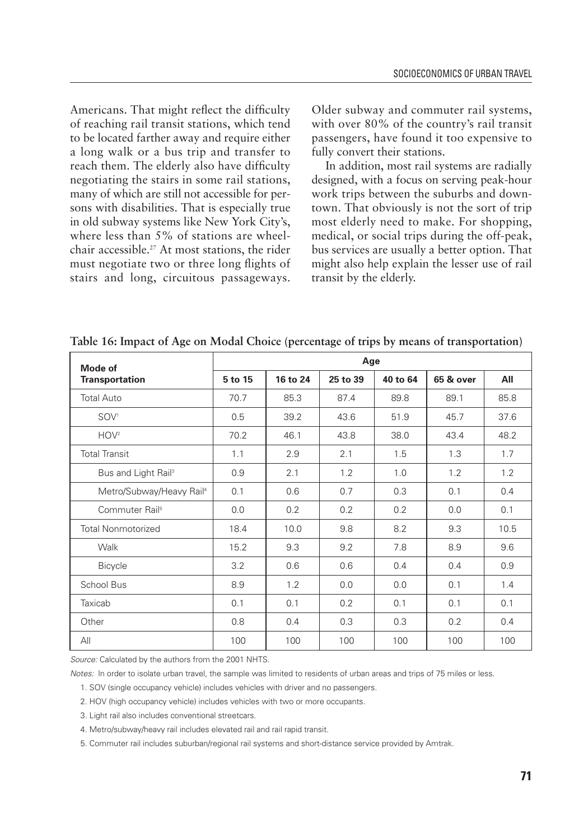Americans. That might reflect the difficulty of reaching rail transit stations, which tend to be located farther away and require either a long walk or a bus trip and transfer to reach them. The elderly also have difficulty negotiating the stairs in some rail stations, many of which are still not accessible for persons with disabilities. That is especially true in old subway systems like New York City's, where less than 5% of stations are wheelchair accessible.27 At most stations, the rider must negotiate two or three long flights of stairs and long, circuitous passageways.

Older subway and commuter rail systems, with over 80% of the country's rail transit passengers, have found it too expensive to fully convert their stations.

In addition, most rail systems are radially designed, with a focus on serving peak-hour work trips between the suburbs and downtown. That obviously is not the sort of trip most elderly need to make. For shopping, medical, or social trips during the off-peak, bus services are usually a better option. That might also help explain the lesser use of rail transit by the elderly.

| Mode of<br><b>Transportation</b>     | Age     |          |          |          |           |      |
|--------------------------------------|---------|----------|----------|----------|-----------|------|
|                                      | 5 to 15 | 16 to 24 | 25 to 39 | 40 to 64 | 65 & over | All  |
| <b>Total Auto</b>                    | 70.7    | 85.3     | 87.4     | 89.8     | 89.1      | 85.8 |
| SOV <sup>1</sup>                     | 0.5     | 39.2     | 43.6     | 51.9     | 45.7      | 37.6 |
| HOV <sup>2</sup>                     | 70.2    | 46.1     | 43.8     | 38.0     | 43.4      | 48.2 |
| <b>Total Transit</b>                 | 1.1     | 2.9      | 2.1      | 1.5      | 1.3       | 1.7  |
| Bus and Light Rail <sup>3</sup>      | 0.9     | 2.1      | 1.2      | 1.0      | 1.2       | 1.2  |
| Metro/Subway/Heavy Rail <sup>4</sup> | 0.1     | 0.6      | 0.7      | 0.3      | 0.1       | 0.4  |
| Commuter Rail <sup>5</sup>           | 0.0     | 0.2      | 0.2      | 0.2      | 0.0       | 0.1  |
| <b>Total Nonmotorized</b>            | 18.4    | 10.0     | 9.8      | 8.2      | 9.3       | 10.5 |
| Walk                                 | 15.2    | 9.3      | 9.2      | 7.8      | 8.9       | 9.6  |
| <b>Bicycle</b>                       | 3.2     | 0.6      | 0.6      | 0.4      | 0.4       | 0.9  |
| School Bus                           | 8.9     | 1.2      | 0.0      | 0.0      | 0.1       | 1.4  |
| Taxicab                              | 0.1     | 0.1      | 0.2      | 0.1      | 0.1       | 0.1  |
| Other                                | 0.8     | 0.4      | 0.3      | 0.3      | 0.2       | 0.4  |
| All                                  | 100     | 100      | 100      | 100      | 100       | 100  |

**Table 16: Impact of Age on Modal Choice (percentage of trips by means of transportation)**

*Source:* Calculated by the authors from the 2001 NHTS.

*Notes:* In order to isolate urban travel, the sample was limited to residents of urban areas and trips of 75 miles or less.

1. SOV (single occupancy vehicle) includes vehicles with driver and no passengers.

2. HOV (high occupancy vehicle) includes vehicles with two or more occupants.

3. Light rail also includes conventional streetcars.

4. Metro/subway/heavy rail includes elevated rail and rail rapid transit.

5. Commuter rail includes suburban/regional rail systems and short-distance service provided by Amtrak.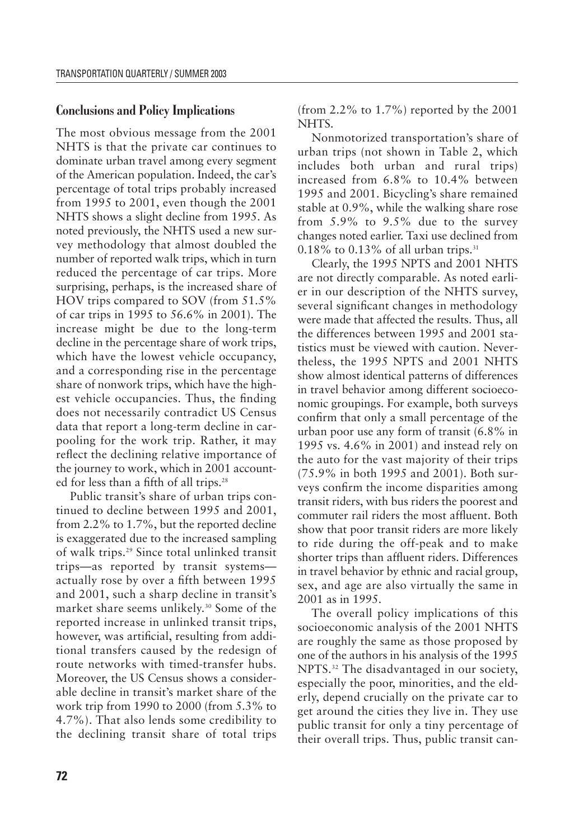## **Conclusions and Policy Implications**

The most obvious message from the 2001 NHTS is that the private car continues to dominate urban travel among every segment of the American population. Indeed, the car's percentage of total trips probably increased from 1995 to 2001, even though the 2001 NHTS shows a slight decline from 1995. As noted previously, the NHTS used a new survey methodology that almost doubled the number of reported walk trips, which in turn reduced the percentage of car trips. More surprising, perhaps, is the increased share of HOV trips compared to SOV (from 51.5% of car trips in 1995 to 56.6% in 2001). The increase might be due to the long-term decline in the percentage share of work trips, which have the lowest vehicle occupancy, and a corresponding rise in the percentage share of nonwork trips, which have the highest vehicle occupancies. Thus, the finding does not necessarily contradict US Census data that report a long-term decline in carpooling for the work trip. Rather, it may reflect the declining relative importance of the journey to work, which in 2001 accounted for less than a fifth of all trips.<sup>28</sup>

Public transit's share of urban trips continued to decline between 1995 and 2001, from 2.2% to 1.7%, but the reported decline is exaggerated due to the increased sampling of walk trips.29 Since total unlinked transit trips—as reported by transit systems actually rose by over a fifth between 1995 and 2001, such a sharp decline in transit's market share seems unlikely.<sup>30</sup> Some of the reported increase in unlinked transit trips, however, was artificial, resulting from additional transfers caused by the redesign of route networks with timed-transfer hubs. Moreover, the US Census shows a considerable decline in transit's market share of the work trip from 1990 to 2000 (from 5.3% to 4.7%). That also lends some credibility to the declining transit share of total trips

(from 2.2% to 1.7%) reported by the 2001 NHTS.

Nonmotorized transportation's share of urban trips (not shown in Table 2, which includes both urban and rural trips) increased from 6.8% to 10.4% between 1995 and 2001. Bicycling's share remained stable at 0.9%, while the walking share rose from 5.9% to 9.5% due to the survey changes noted earlier. Taxi use declined from  $0.18\%$  to  $0.13\%$  of all urban trips.<sup>31</sup>

Clearly, the 1995 NPTS and 2001 NHTS are not directly comparable. As noted earlier in our description of the NHTS survey, several significant changes in methodology were made that affected the results. Thus, all the differences between 1995 and 2001 statistics must be viewed with caution. Nevertheless, the 1995 NPTS and 2001 NHTS show almost identical patterns of differences in travel behavior among different socioeconomic groupings. For example, both surveys confirm that only a small percentage of the urban poor use any form of transit (6.8% in 1995 vs. 4.6% in 2001) and instead rely on the auto for the vast majority of their trips (75.9% in both 1995 and 2001). Both surveys confirm the income disparities among transit riders, with bus riders the poorest and commuter rail riders the most affluent. Both show that poor transit riders are more likely to ride during the off-peak and to make shorter trips than affluent riders. Differences in travel behavior by ethnic and racial group, sex, and age are also virtually the same in 2001 as in 1995.

The overall policy implications of this socioeconomic analysis of the 2001 NHTS are roughly the same as those proposed by one of the authors in his analysis of the 1995 NPTS.32 The disadvantaged in our society, especially the poor, minorities, and the elderly, depend crucially on the private car to get around the cities they live in. They use public transit for only a tiny percentage of their overall trips. Thus, public transit can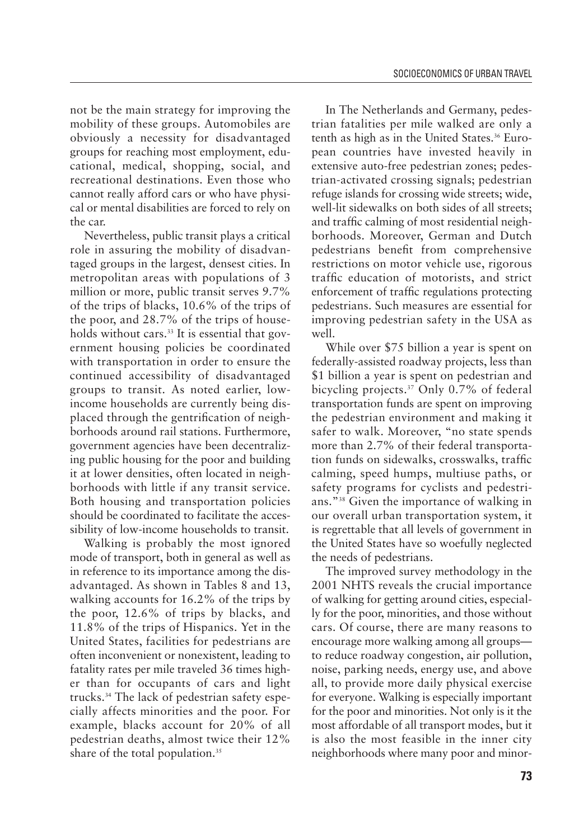not be the main strategy for improving the mobility of these groups. Automobiles are obviously a necessity for disadvantaged groups for reaching most employment, educational, medical, shopping, social, and recreational destinations. Even those who cannot really afford cars or who have physical or mental disabilities are forced to rely on the car.

Nevertheless, public transit plays a critical role in assuring the mobility of disadvantaged groups in the largest, densest cities. In metropolitan areas with populations of 3 million or more, public transit serves 9.7% of the trips of blacks, 10.6% of the trips of the poor, and 28.7% of the trips of households without cars.<sup>33</sup> It is essential that government housing policies be coordinated with transportation in order to ensure the continued accessibility of disadvantaged groups to transit. As noted earlier, lowincome households are currently being displaced through the gentrification of neighborhoods around rail stations. Furthermore, government agencies have been decentralizing public housing for the poor and building it at lower densities, often located in neighborhoods with little if any transit service. Both housing and transportation policies should be coordinated to facilitate the accessibility of low-income households to transit.

Walking is probably the most ignored mode of transport, both in general as well as in reference to its importance among the disadvantaged. As shown in Tables 8 and 13, walking accounts for 16.2% of the trips by the poor, 12.6% of trips by blacks, and 11.8% of the trips of Hispanics. Yet in the United States, facilities for pedestrians are often inconvenient or nonexistent, leading to fatality rates per mile traveled 36 times higher than for occupants of cars and light trucks.34 The lack of pedestrian safety especially affects minorities and the poor. For example, blacks account for 20% of all pedestrian deaths, almost twice their 12% share of the total population.<sup>35</sup>

In The Netherlands and Germany, pedestrian fatalities per mile walked are only a tenth as high as in the United States.<sup>36</sup> European countries have invested heavily in extensive auto-free pedestrian zones; pedestrian-activated crossing signals; pedestrian refuge islands for crossing wide streets; wide, well-lit sidewalks on both sides of all streets; and traffic calming of most residential neighborhoods. Moreover, German and Dutch pedestrians benefit from comprehensive restrictions on motor vehicle use, rigorous traffic education of motorists, and strict enforcement of traffic regulations protecting pedestrians. Such measures are essential for improving pedestrian safety in the USA as well.

While over \$75 billion a year is spent on federally-assisted roadway projects, less than \$1 billion a year is spent on pedestrian and bicycling projects.37 Only 0.7% of federal transportation funds are spent on improving the pedestrian environment and making it safer to walk. Moreover, "no state spends more than 2.7% of their federal transportation funds on sidewalks, crosswalks, traffic calming, speed humps, multiuse paths, or safety programs for cyclists and pedestrians."38 Given the importance of walking in our overall urban transportation system, it is regrettable that all levels of government in the United States have so woefully neglected the needs of pedestrians.

The improved survey methodology in the 2001 NHTS reveals the crucial importance of walking for getting around cities, especially for the poor, minorities, and those without cars. Of course, there are many reasons to encourage more walking among all groups to reduce roadway congestion, air pollution, noise, parking needs, energy use, and above all, to provide more daily physical exercise for everyone. Walking is especially important for the poor and minorities. Not only is it the most affordable of all transport modes, but it is also the most feasible in the inner city neighborhoods where many poor and minor-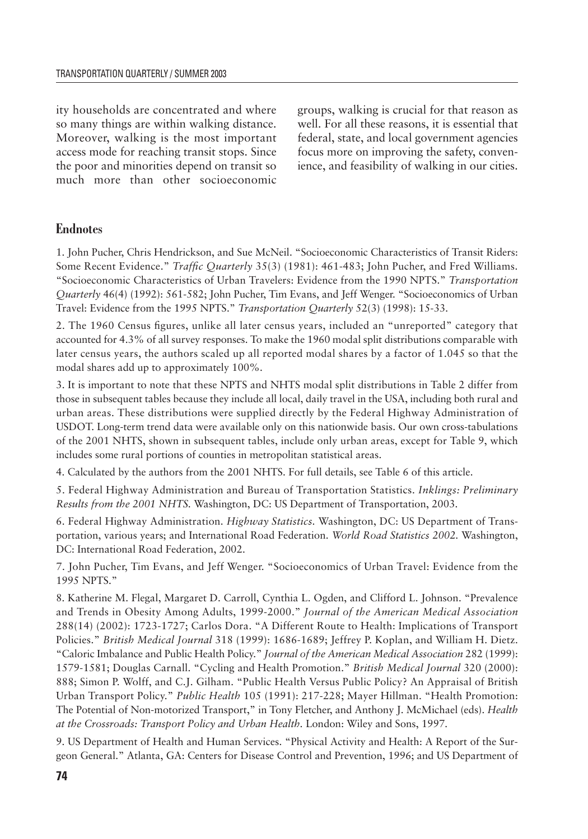ity households are concentrated and where so many things are within walking distance. Moreover, walking is the most important access mode for reaching transit stops. Since the poor and minorities depend on transit so much more than other socioeconomic groups, walking is crucial for that reason as well. For all these reasons, it is essential that federal, state, and local government agencies focus more on improving the safety, convenience, and feasibility of walking in our cities.

# **Endnotes**

1. John Pucher, Chris Hendrickson, and Sue McNeil. "Socioeconomic Characteristics of Transit Riders: Some Recent Evidence." *Traffic Quarterly* 35(3) (1981): 461-483; John Pucher, and Fred Williams. "Socioeconomic Characteristics of Urban Travelers: Evidence from the 1990 NPTS." *Transportation Quarterly* 46(4) (1992): 561-582; John Pucher, Tim Evans, and Jeff Wenger. "Socioeconomics of Urban Travel: Evidence from the 1995 NPTS." *Transportation Quarterly* 52(3) (1998): 15-33.

2. The 1960 Census figures, unlike all later census years, included an "unreported" category that accounted for 4.3% of all survey responses. To make the 1960 modal split distributions comparable with later census years, the authors scaled up all reported modal shares by a factor of 1.045 so that the modal shares add up to approximately 100%.

3. It is important to note that these NPTS and NHTS modal split distributions in Table 2 differ from those in subsequent tables because they include all local, daily travel in the USA, including both rural and urban areas. These distributions were supplied directly by the Federal Highway Administration of USDOT. Long-term trend data were available only on this nationwide basis. Our own cross-tabulations of the 2001 NHTS, shown in subsequent tables, include only urban areas, except for Table 9, which includes some rural portions of counties in metropolitan statistical areas.

4. Calculated by the authors from the 2001 NHTS. For full details, see Table 6 of this article.

5. Federal Highway Administration and Bureau of Transportation Statistics. *Inklings: Preliminary Results from the 2001 NHTS.* Washington, DC: US Department of Transportation, 2003.

6. Federal Highway Administration. *Highway Statistics.* Washington, DC: US Department of Transportation, various years; and International Road Federation. *World Road Statistics 2002.* Washington, DC: International Road Federation, 2002.

7. John Pucher, Tim Evans, and Jeff Wenger. "Socioeconomics of Urban Travel: Evidence from the 1995 NPTS."

8. Katherine M. Flegal, Margaret D. Carroll, Cynthia L. Ogden, and Clifford L. Johnson. "Prevalence and Trends in Obesity Among Adults, 1999-2000." *Journal of the American Medical Association* 288(14) (2002): 1723-1727; Carlos Dora. "A Different Route to Health: Implications of Transport Policies." *British Medical Journal* 318 (1999): 1686-1689; Jeffrey P. Koplan, and William H. Dietz. "Caloric Imbalance and Public Health Policy." *Journal of the American Medical Association* 282 (1999): 1579-1581; Douglas Carnall. "Cycling and Health Promotion." *British Medical Journal* 320 (2000): 888; Simon P. Wolff, and C.J. Gilham. "Public Health Versus Public Policy? An Appraisal of British Urban Transport Policy." *Public Health* 105 (1991): 217-228; Mayer Hillman. "Health Promotion: The Potential of Non-motorized Transport," in Tony Fletcher, and Anthony J. McMichael (eds). *Health at the Crossroads: Transport Policy and Urban Health.* London: Wiley and Sons, 1997.

9. US Department of Health and Human Services. "Physical Activity and Health: A Report of the Surgeon General." Atlanta, GA: Centers for Disease Control and Prevention, 1996; and US Department of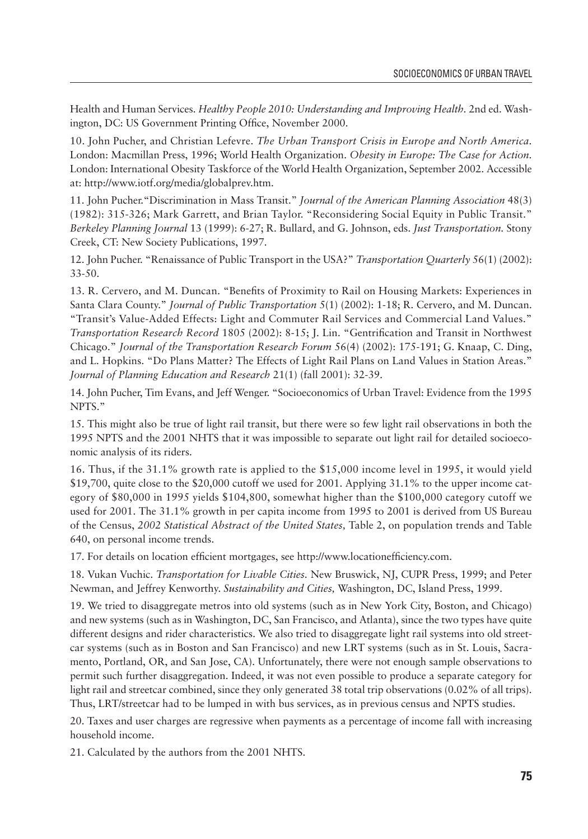Health and Human Services. *Healthy People 2010: Understanding and Improving Health.* 2nd ed. Washington, DC: US Government Printing Office, November 2000.

10. John Pucher, and Christian Lefevre. *The Urban Transport Crisis in Europe and North America.*  London: Macmillan Press, 1996; World Health Organization. *Obesity in Europe: The Case for Action.* London: International Obesity Taskforce of the World Health Organization, September 2002. Accessible at: http://www.iotf.org/media/globalprev.htm.

11. John Pucher."Discrimination in Mass Transit." *Journal of the American Planning Association* 48(3) (1982): 315-326; Mark Garrett, and Brian Taylor. "Reconsidering Social Equity in Public Transit." *Berkeley Planning Journal* 13 (1999): 6-27; R. Bullard, and G. Johnson, eds. *Just Transportation.* Stony Creek, CT: New Society Publications, 1997.

12. John Pucher. "Renaissance of Public Transport in the USA?" *Transportation Quarterly* 56(1) (2002): 33-50.

13. R. Cervero, and M. Duncan. "Benefits of Proximity to Rail on Housing Markets: Experiences in Santa Clara County." *Journal of Public Transportation* 5(1) (2002): 1-18; R. Cervero, and M. Duncan. "Transit's Value-Added Effects: Light and Commuter Rail Services and Commercial Land Values." *Transportation Research Record* 1805 (2002): 8-15; J. Lin. "Gentrification and Transit in Northwest Chicago." *Journal of the Transportation Research Forum* 56(4) (2002): 175-191; G. Knaap, C. Ding, and L. Hopkins. "Do Plans Matter? The Effects of Light Rail Plans on Land Values in Station Areas." *Journal of Planning Education and Research* 21(1) (fall 2001): 32-39.

14. John Pucher, Tim Evans, and Jeff Wenger. "Socioeconomics of Urban Travel: Evidence from the 1995 NPTS."

15. This might also be true of light rail transit, but there were so few light rail observations in both the 1995 NPTS and the 2001 NHTS that it was impossible to separate out light rail for detailed socioeconomic analysis of its riders.

16. Thus, if the 31.1% growth rate is applied to the \$15,000 income level in 1995, it would yield \$19,700, quite close to the \$20,000 cutoff we used for 2001. Applying 31.1% to the upper income category of \$80,000 in 1995 yields \$104,800, somewhat higher than the \$100,000 category cutoff we used for 2001. The 31.1% growth in per capita income from 1995 to 2001 is derived from US Bureau of the Census, *2002 Statistical Abstract of the United States,* Table 2, on population trends and Table 640, on personal income trends.

17. For details on location efficient mortgages, see http://www.locationefficiency.com.

18. Vukan Vuchic. *Transportation for Livable Cities.* New Bruswick, NJ, CUPR Press, 1999; and Peter Newman, and Jeffrey Kenworthy. *Sustainability and Cities,* Washington, DC, Island Press, 1999.

19. We tried to disaggregate metros into old systems (such as in New York City, Boston, and Chicago) and new systems (such as in Washington, DC, San Francisco, and Atlanta), since the two types have quite different designs and rider characteristics. We also tried to disaggregate light rail systems into old streetcar systems (such as in Boston and San Francisco) and new LRT systems (such as in St. Louis, Sacramento, Portland, OR, and San Jose, CA). Unfortunately, there were not enough sample observations to permit such further disaggregation. Indeed, it was not even possible to produce a separate category for light rail and streetcar combined, since they only generated 38 total trip observations (0.02% of all trips). Thus, LRT/streetcar had to be lumped in with bus services, as in previous census and NPTS studies.

20. Taxes and user charges are regressive when payments as a percentage of income fall with increasing household income.

21. Calculated by the authors from the 2001 NHTS.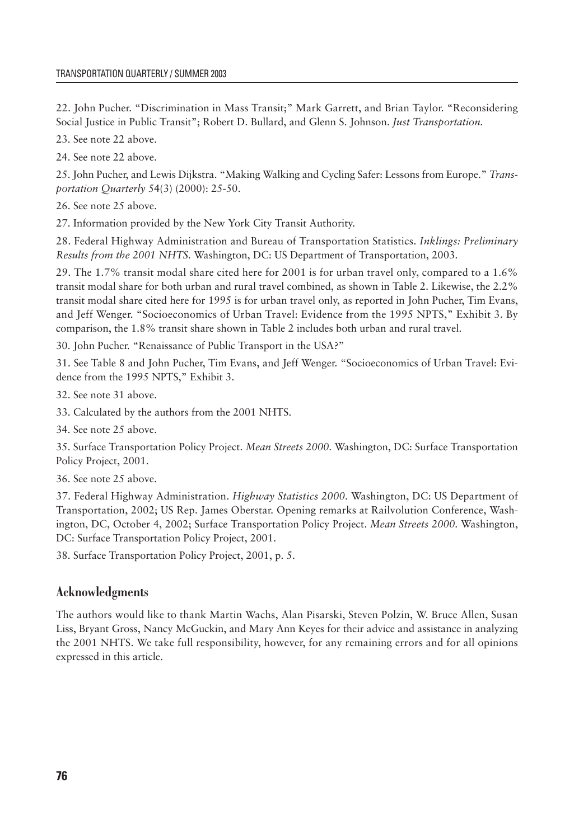22. John Pucher. "Discrimination in Mass Transit;" Mark Garrett, and Brian Taylor. "Reconsidering Social Justice in Public Transit"; Robert D. Bullard, and Glenn S. Johnson. *Just Transportation.*

23. See note 22 above.

24. See note 22 above.

25. John Pucher, and Lewis Dijkstra. "Making Walking and Cycling Safer: Lessons from Europe." *Transportation Quarterly* 54(3) (2000): 25-50.

26. See note 25 above.

27. Information provided by the New York City Transit Authority.

28. Federal Highway Administration and Bureau of Transportation Statistics. *Inklings: Preliminary Results from the 2001 NHTS.* Washington, DC: US Department of Transportation, 2003.

29. The 1.7% transit modal share cited here for 2001 is for urban travel only, compared to a 1.6% transit modal share for both urban and rural travel combined, as shown in Table 2. Likewise, the 2.2% transit modal share cited here for 1995 is for urban travel only, as reported in John Pucher, Tim Evans, and Jeff Wenger. "Socioeconomics of Urban Travel: Evidence from the 1995 NPTS," Exhibit 3. By comparison, the 1.8% transit share shown in Table 2 includes both urban and rural travel.

30. John Pucher. "Renaissance of Public Transport in the USA?"

31. See Table 8 and John Pucher, Tim Evans, and Jeff Wenger. "Socioeconomics of Urban Travel: Evidence from the 1995 NPTS," Exhibit 3.

32. See note 31 above.

33. Calculated by the authors from the 2001 NHTS.

34. See note 25 above.

35. Surface Transportation Policy Project. *Mean Streets 2000.* Washington, DC: Surface Transportation Policy Project, 2001.

36. See note 25 above.

37. Federal Highway Administration. *Highway Statistics 2000.* Washington, DC: US Department of Transportation, 2002; US Rep. James Oberstar. Opening remarks at Railvolution Conference, Washington, DC, October 4, 2002; Surface Transportation Policy Project. *Mean Streets 2000.* Washington, DC: Surface Transportation Policy Project, 2001.

38. Surface Transportation Policy Project, 2001, p. 5.

# **Acknowledgments**

The authors would like to thank Martin Wachs, Alan Pisarski, Steven Polzin, W. Bruce Allen, Susan Liss, Bryant Gross, Nancy McGuckin, and Mary Ann Keyes for their advice and assistance in analyzing the 2001 NHTS. We take full responsibility, however, for any remaining errors and for all opinions expressed in this article.